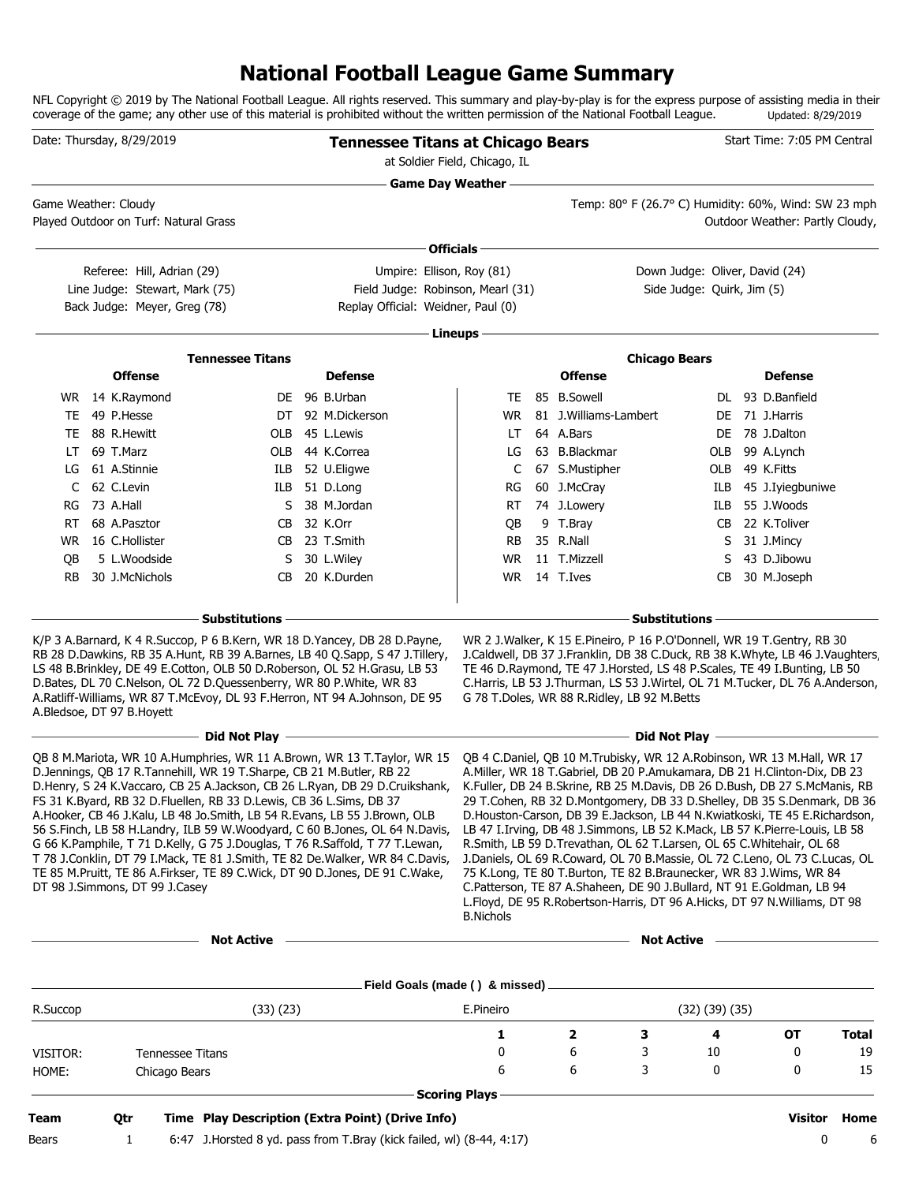### **National Football League Game Summary**

NFL Copyright © 2019 by The National Football League. All rights reserved. This summary and play-by-play is for the express purpose of assisting media in their coverage of the game; any other use of this material is prohibited without the written permission of the National Football League. Updated: 8/29/2019

|             | Date: Thursday, 8/29/2019             |                                                                                                                                                                                                                                                                                                             |                                                                                                                                                                                                                                                                                                                                                                                                                                                                                                                                                             | <b>Tennessee Titans at Chicago Bears</b><br>at Soldier Field, Chicago, IL    |                                                                                                                                                                                                                                                                                                                                                                                                                                                                                                                                                                                                                                                                                                                                                                                     |                                                                                                                                                                                                                                                                                                                                                                        |                                | Start Time: 7:05 PM Central      |              |
|-------------|---------------------------------------|-------------------------------------------------------------------------------------------------------------------------------------------------------------------------------------------------------------------------------------------------------------------------------------------------------------|-------------------------------------------------------------------------------------------------------------------------------------------------------------------------------------------------------------------------------------------------------------------------------------------------------------------------------------------------------------------------------------------------------------------------------------------------------------------------------------------------------------------------------------------------------------|------------------------------------------------------------------------------|-------------------------------------------------------------------------------------------------------------------------------------------------------------------------------------------------------------------------------------------------------------------------------------------------------------------------------------------------------------------------------------------------------------------------------------------------------------------------------------------------------------------------------------------------------------------------------------------------------------------------------------------------------------------------------------------------------------------------------------------------------------------------------------|------------------------------------------------------------------------------------------------------------------------------------------------------------------------------------------------------------------------------------------------------------------------------------------------------------------------------------------------------------------------|--------------------------------|----------------------------------|--------------|
|             | Game Weather: Cloudy                  |                                                                                                                                                                                                                                                                                                             |                                                                                                                                                                                                                                                                                                                                                                                                                                                                                                                                                             |                                                                              |                                                                                                                                                                                                                                                                                                                                                                                                                                                                                                                                                                                                                                                                                                                                                                                     | Temp: 80° F (26.7° C) Humidity: 60%, Wind: SW 23 mph                                                                                                                                                                                                                                                                                                                   |                                |                                  |              |
|             | Played Outdoor on Turf: Natural Grass |                                                                                                                                                                                                                                                                                                             |                                                                                                                                                                                                                                                                                                                                                                                                                                                                                                                                                             |                                                                              |                                                                                                                                                                                                                                                                                                                                                                                                                                                                                                                                                                                                                                                                                                                                                                                     |                                                                                                                                                                                                                                                                                                                                                                        |                                | Outdoor Weather: Partly Cloudy,  |              |
|             |                                       |                                                                                                                                                                                                                                                                                                             |                                                                                                                                                                                                                                                                                                                                                                                                                                                                                                                                                             |                                                                              | Officials $-$                                                                                                                                                                                                                                                                                                                                                                                                                                                                                                                                                                                                                                                                                                                                                                       |                                                                                                                                                                                                                                                                                                                                                                        |                                |                                  |              |
|             | Referee: Hill, Adrian (29)            |                                                                                                                                                                                                                                                                                                             |                                                                                                                                                                                                                                                                                                                                                                                                                                                                                                                                                             | Umpire: Ellison, Roy (81)                                                    |                                                                                                                                                                                                                                                                                                                                                                                                                                                                                                                                                                                                                                                                                                                                                                                     |                                                                                                                                                                                                                                                                                                                                                                        | Down Judge: Oliver, David (24) |                                  |              |
|             | Line Judge: Stewart, Mark (75)        |                                                                                                                                                                                                                                                                                                             |                                                                                                                                                                                                                                                                                                                                                                                                                                                                                                                                                             | Field Judge: Robinson, Mearl (31)                                            |                                                                                                                                                                                                                                                                                                                                                                                                                                                                                                                                                                                                                                                                                                                                                                                     |                                                                                                                                                                                                                                                                                                                                                                        | Side Judge: Quirk, Jim (5)     |                                  |              |
|             | Back Judge: Meyer, Greg (78)          |                                                                                                                                                                                                                                                                                                             |                                                                                                                                                                                                                                                                                                                                                                                                                                                                                                                                                             | Replay Official: Weidner, Paul (0)                                           |                                                                                                                                                                                                                                                                                                                                                                                                                                                                                                                                                                                                                                                                                                                                                                                     |                                                                                                                                                                                                                                                                                                                                                                        |                                |                                  |              |
|             |                                       |                                                                                                                                                                                                                                                                                                             |                                                                                                                                                                                                                                                                                                                                                                                                                                                                                                                                                             |                                                                              | Lineups-                                                                                                                                                                                                                                                                                                                                                                                                                                                                                                                                                                                                                                                                                                                                                                            |                                                                                                                                                                                                                                                                                                                                                                        |                                |                                  |              |
|             |                                       | <b>Tennessee Titans</b>                                                                                                                                                                                                                                                                                     |                                                                                                                                                                                                                                                                                                                                                                                                                                                                                                                                                             |                                                                              |                                                                                                                                                                                                                                                                                                                                                                                                                                                                                                                                                                                                                                                                                                                                                                                     |                                                                                                                                                                                                                                                                                                                                                                        | <b>Chicago Bears</b>           |                                  |              |
|             | <b>Offense</b>                        |                                                                                                                                                                                                                                                                                                             |                                                                                                                                                                                                                                                                                                                                                                                                                                                                                                                                                             | <b>Defense</b>                                                               |                                                                                                                                                                                                                                                                                                                                                                                                                                                                                                                                                                                                                                                                                                                                                                                     | <b>Offense</b>                                                                                                                                                                                                                                                                                                                                                         |                                | <b>Defense</b>                   |              |
|             | WR 14 K.Raymond                       |                                                                                                                                                                                                                                                                                                             |                                                                                                                                                                                                                                                                                                                                                                                                                                                                                                                                                             | DE 96 B.Urban                                                                | TE.                                                                                                                                                                                                                                                                                                                                                                                                                                                                                                                                                                                                                                                                                                                                                                                 | 85 B.Sowell                                                                                                                                                                                                                                                                                                                                                            |                                | DL 93 D.Banfield                 |              |
|             | TE 49 P.Hesse                         |                                                                                                                                                                                                                                                                                                             |                                                                                                                                                                                                                                                                                                                                                                                                                                                                                                                                                             | DT 92 M.Dickerson                                                            |                                                                                                                                                                                                                                                                                                                                                                                                                                                                                                                                                                                                                                                                                                                                                                                     | WR 81 J.Williams-Lambert                                                                                                                                                                                                                                                                                                                                               |                                | DE 71 J.Harris                   |              |
|             | TE 88 R.Hewitt<br>LT 69 T.Marz        |                                                                                                                                                                                                                                                                                                             |                                                                                                                                                                                                                                                                                                                                                                                                                                                                                                                                                             | OLB 45 L.Lewis                                                               | LT.                                                                                                                                                                                                                                                                                                                                                                                                                                                                                                                                                                                                                                                                                                                                                                                 | 64 A.Bars<br>63 B.Blackmar                                                                                                                                                                                                                                                                                                                                             |                                | DE 78 J.Dalton<br>OLB 99 A.Lynch |              |
|             | LG 61 A.Stinnie                       |                                                                                                                                                                                                                                                                                                             |                                                                                                                                                                                                                                                                                                                                                                                                                                                                                                                                                             | OLB 44 K.Correa<br>ILB 52 U.Eligwe                                           | LG<br>C                                                                                                                                                                                                                                                                                                                                                                                                                                                                                                                                                                                                                                                                                                                                                                             | 67 S.Mustipher                                                                                                                                                                                                                                                                                                                                                         |                                | OLB 49 K.Fitts                   |              |
|             | C 62 C.Levin                          |                                                                                                                                                                                                                                                                                                             |                                                                                                                                                                                                                                                                                                                                                                                                                                                                                                                                                             | ILB 51 D.Long                                                                | RG                                                                                                                                                                                                                                                                                                                                                                                                                                                                                                                                                                                                                                                                                                                                                                                  | 60 J.McCray                                                                                                                                                                                                                                                                                                                                                            |                                | ILB 45 J.Iyiegbuniwe             |              |
|             | RG 73 A.Hall                          |                                                                                                                                                                                                                                                                                                             |                                                                                                                                                                                                                                                                                                                                                                                                                                                                                                                                                             | S 38 M.Jordan                                                                | <b>RT</b>                                                                                                                                                                                                                                                                                                                                                                                                                                                                                                                                                                                                                                                                                                                                                                           | 74 J.Lowery                                                                                                                                                                                                                                                                                                                                                            |                                | ILB 55 J.Woods                   |              |
|             | RT 68 A.Pasztor                       |                                                                                                                                                                                                                                                                                                             | CB 32 K.Orr                                                                                                                                                                                                                                                                                                                                                                                                                                                                                                                                                 |                                                                              | QB                                                                                                                                                                                                                                                                                                                                                                                                                                                                                                                                                                                                                                                                                                                                                                                  | 9 T.Bray                                                                                                                                                                                                                                                                                                                                                               |                                | CB 22 K.Toliver                  |              |
|             | WR 16 C.Hollister                     |                                                                                                                                                                                                                                                                                                             |                                                                                                                                                                                                                                                                                                                                                                                                                                                                                                                                                             | CB 23 T.Smith                                                                | RB                                                                                                                                                                                                                                                                                                                                                                                                                                                                                                                                                                                                                                                                                                                                                                                  | 35 R.Nall                                                                                                                                                                                                                                                                                                                                                              |                                | S 31 J.Mincy                     |              |
| QB          | 5 L.Woodside                          |                                                                                                                                                                                                                                                                                                             |                                                                                                                                                                                                                                                                                                                                                                                                                                                                                                                                                             | S 30 L.Wiley                                                                 |                                                                                                                                                                                                                                                                                                                                                                                                                                                                                                                                                                                                                                                                                                                                                                                     | WR 11 T.Mizzell                                                                                                                                                                                                                                                                                                                                                        |                                | S 43 D.Jibowu                    |              |
| RB.         | 30 J.McNichols                        |                                                                                                                                                                                                                                                                                                             |                                                                                                                                                                                                                                                                                                                                                                                                                                                                                                                                                             | CB 20 K.Durden                                                               |                                                                                                                                                                                                                                                                                                                                                                                                                                                                                                                                                                                                                                                                                                                                                                                     | WR 14 T.Ives                                                                                                                                                                                                                                                                                                                                                           |                                | CB 30 M.Joseph                   |              |
|             |                                       |                                                                                                                                                                                                                                                                                                             |                                                                                                                                                                                                                                                                                                                                                                                                                                                                                                                                                             |                                                                              |                                                                                                                                                                                                                                                                                                                                                                                                                                                                                                                                                                                                                                                                                                                                                                                     |                                                                                                                                                                                                                                                                                                                                                                        |                                |                                  |              |
|             |                                       | – Substitutions -                                                                                                                                                                                                                                                                                           |                                                                                                                                                                                                                                                                                                                                                                                                                                                                                                                                                             |                                                                              |                                                                                                                                                                                                                                                                                                                                                                                                                                                                                                                                                                                                                                                                                                                                                                                     |                                                                                                                                                                                                                                                                                                                                                                        | $-$ Substitutions $\hbox{-}$   |                                  |              |
|             | A.Bledsoe, DT 97 B.Hoyett             | K/P 3 A.Barnard, K 4 R.Succop, P 6 B.Kern, WR 18 D.Yancey, DB 28 D.Payne,<br>LS 48 B.Brinkley, DE 49 E.Cotton, OLB 50 D.Roberson, OL 52 H.Grasu, LB 53<br>D.Bates, DL 70 C.Nelson, OL 72 D.Quessenberry, WR 80 P.White, WR 83<br>A.Ratliff-Williams, WR 87 T.McEvoy, DL 93 F.Herron, NT 94 A.Johnson, DE 95 |                                                                                                                                                                                                                                                                                                                                                                                                                                                                                                                                                             | RB 28 D.Dawkins, RB 35 A.Hunt, RB 39 A.Barnes, LB 40 Q.Sapp, S 47 J.Tillery, |                                                                                                                                                                                                                                                                                                                                                                                                                                                                                                                                                                                                                                                                                                                                                                                     | WR 2 J. Walker, K 15 E. Pineiro, P 16 P. O'Donnell, WR 19 T. Gentry, RB 30<br>J.Caldwell, DB 37 J.Franklin, DB 38 C.Duck, RB 38 K.Whyte, LB 46 J.Vaughters,<br>TE 46 D.Raymond, TE 47 J.Horsted, LS 48 P.Scales, TE 49 I.Bunting, LB 50<br>C.Harris, LB 53 J.Thurman, LS 53 J.Wirtel, OL 71 M.Tucker, DL 76 A.Anderson,<br>G 78 T.Doles, WR 88 R.Ridley, LB 92 M.Betts |                                |                                  |              |
|             |                                       |                                                                                                                                                                                                                                                                                                             |                                                                                                                                                                                                                                                                                                                                                                                                                                                                                                                                                             |                                                                              |                                                                                                                                                                                                                                                                                                                                                                                                                                                                                                                                                                                                                                                                                                                                                                                     |                                                                                                                                                                                                                                                                                                                                                                        |                                |                                  |              |
|             | DT 98 J.Simmons, DT 99 J.Casey        | D.Jennings, QB 17 R.Tannehill, WR 19 T.Sharpe, CB 21 M.Butler, RB 22<br>FS 31 K.Byard, RB 32 D.Fluellen, RB 33 D.Lewis, CB 36 L.Sims, DB 37<br>A.Hooker, CB 46 J.Kalu, LB 48 Jo.Smith, LB 54 R.Evans, LB 55 J.Brown, OLB                                                                                    | QB 8 M.Mariota, WR 10 A.Humphries, WR 11 A.Brown, WR 13 T.Taylor, WR 15 QB 4 C.Daniel, QB 10 M.Trubisky, WR 12 A.Robinson, WR 13 M.Hall, WR 17<br>D.Henry, S 24 K.Vaccaro, CB 25 A.Jackson, CB 26 L.Ryan, DB 29 D.Cruikshank,<br>56 S.Finch, LB 58 H.Landry, ILB 59 W.Woodyard, C 60 B.Jones, OL 64 N.Davis,<br>G 66 K.Pamphile, T 71 D.Kelly, G 75 J.Douglas, T 76 R.Saffold, T 77 T.Lewan,<br>T 78 J.Conklin, DT 79 I.Mack, TE 81 J.Smith, TE 82 De.Walker, WR 84 C.Davis,<br>TE 85 M.Pruitt, TE 86 A.Firkser, TE 89 C.Wick, DT 90 D.Jones, DE 91 C.Wake, | <b>B.Nichols</b>                                                             | A.Miller, WR 18 T.Gabriel, DB 20 P.Amukamara, DB 21 H.Clinton-Dix, DB 23<br>K.Fuller, DB 24 B.Skrine, RB 25 M.Davis, DB 26 D.Bush, DB 27 S.McManis, RB<br>29 T.Cohen, RB 32 D.Montgomery, DB 33 D.Shelley, DB 35 S.Denmark, DB 36<br>D. Houston-Carson, DB 39 E. Jackson, LB 44 N. Kwiatkoski, TE 45 E. Richardson,<br>LB 47 I.Irving, DB 48 J.Simmons, LB 52 K.Mack, LB 57 K.Pierre-Louis, LB 58<br>R.Smith, LB 59 D.Trevathan, OL 62 T.Larsen, OL 65 C.Whitehair, OL 68<br>J.Daniels, OL 69 R.Coward, OL 70 B.Massie, OL 72 C.Leno, OL 73 C.Lucas, OL<br>75 K.Long, TE 80 T.Burton, TE 82 B.Braunecker, WR 83 J.Wims, WR 84<br>C.Patterson, TE 87 A.Shaheen, DE 90 J.Bullard, NT 91 E.Goldman, LB 94<br>L.Floyd, DE 95 R.Robertson-Harris, DT 96 A.Hicks, DT 97 N.Williams, DT 98 |                                                                                                                                                                                                                                                                                                                                                                        |                                |                                  |              |
|             |                                       | <b>Not Active</b>                                                                                                                                                                                                                                                                                           |                                                                                                                                                                                                                                                                                                                                                                                                                                                                                                                                                             |                                                                              |                                                                                                                                                                                                                                                                                                                                                                                                                                                                                                                                                                                                                                                                                                                                                                                     |                                                                                                                                                                                                                                                                                                                                                                        | <b>Not Active</b>              |                                  |              |
|             |                                       |                                                                                                                                                                                                                                                                                                             |                                                                                                                                                                                                                                                                                                                                                                                                                                                                                                                                                             |                                                                              |                                                                                                                                                                                                                                                                                                                                                                                                                                                                                                                                                                                                                                                                                                                                                                                     |                                                                                                                                                                                                                                                                                                                                                                        |                                |                                  |              |
|             |                                       |                                                                                                                                                                                                                                                                                                             |                                                                                                                                                                                                                                                                                                                                                                                                                                                                                                                                                             | Field Goals (made () & missed) _                                             |                                                                                                                                                                                                                                                                                                                                                                                                                                                                                                                                                                                                                                                                                                                                                                                     |                                                                                                                                                                                                                                                                                                                                                                        |                                |                                  |              |
| R.Succop    |                                       | (33)(23)                                                                                                                                                                                                                                                                                                    |                                                                                                                                                                                                                                                                                                                                                                                                                                                                                                                                                             |                                                                              | E.Pineiro                                                                                                                                                                                                                                                                                                                                                                                                                                                                                                                                                                                                                                                                                                                                                                           |                                                                                                                                                                                                                                                                                                                                                                        | $(32)$ $(39)$ $(35)$           |                                  |              |
|             |                                       |                                                                                                                                                                                                                                                                                                             |                                                                                                                                                                                                                                                                                                                                                                                                                                                                                                                                                             |                                                                              | 1                                                                                                                                                                                                                                                                                                                                                                                                                                                                                                                                                                                                                                                                                                                                                                                   | $\mathbf{2}$<br>3                                                                                                                                                                                                                                                                                                                                                      | 4                              | <b>OT</b>                        | <b>Total</b> |
| VISITOR:    |                                       | <b>Tennessee Titans</b>                                                                                                                                                                                                                                                                                     |                                                                                                                                                                                                                                                                                                                                                                                                                                                                                                                                                             |                                                                              | 0                                                                                                                                                                                                                                                                                                                                                                                                                                                                                                                                                                                                                                                                                                                                                                                   | 6<br>3                                                                                                                                                                                                                                                                                                                                                                 | 10                             | 0                                | 19           |
| HOME:       | Chicago Bears                         |                                                                                                                                                                                                                                                                                                             |                                                                                                                                                                                                                                                                                                                                                                                                                                                                                                                                                             |                                                                              | 6                                                                                                                                                                                                                                                                                                                                                                                                                                                                                                                                                                                                                                                                                                                                                                                   | 6<br>3                                                                                                                                                                                                                                                                                                                                                                 | 0                              | 0                                | 15           |
|             |                                       |                                                                                                                                                                                                                                                                                                             |                                                                                                                                                                                                                                                                                                                                                                                                                                                                                                                                                             |                                                                              | <b>Scoring Plays</b>                                                                                                                                                                                                                                                                                                                                                                                                                                                                                                                                                                                                                                                                                                                                                                |                                                                                                                                                                                                                                                                                                                                                                        |                                |                                  |              |
| <b>Team</b> | Qtr                                   |                                                                                                                                                                                                                                                                                                             |                                                                                                                                                                                                                                                                                                                                                                                                                                                                                                                                                             | Time Play Description (Extra Point) (Drive Info)                             |                                                                                                                                                                                                                                                                                                                                                                                                                                                                                                                                                                                                                                                                                                                                                                                     |                                                                                                                                                                                                                                                                                                                                                                        |                                | <b>Visitor</b>                   | Home         |
| Bears       | 1                                     |                                                                                                                                                                                                                                                                                                             |                                                                                                                                                                                                                                                                                                                                                                                                                                                                                                                                                             | 6:47 J.Horsted 8 yd. pass from T.Bray (kick failed, wl) (8-44, 4:17)         |                                                                                                                                                                                                                                                                                                                                                                                                                                                                                                                                                                                                                                                                                                                                                                                     |                                                                                                                                                                                                                                                                                                                                                                        |                                | 0                                | 6            |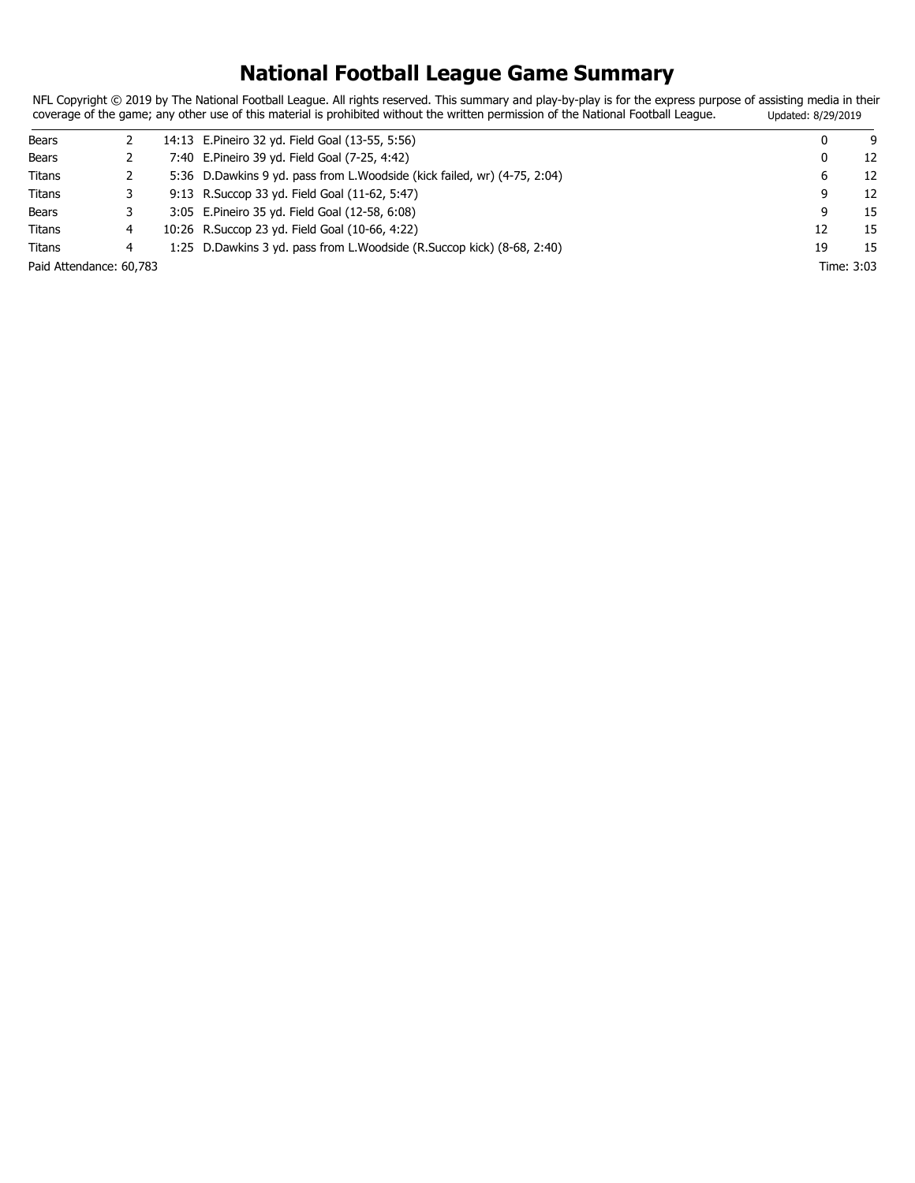### **National Football League Game Summary**

NFL Copyright © 2019 by The National Football League. All rights reserved. This summary and play-by-play is for the express purpose of assisting media in their coverage of the game; any other use of this material is prohibited without the written permission of the National Football League. Updated: 8/29/2019

| Bears                   |   | 14:13 E.Pineiro 32 yd. Field Goal (13-55, 5:56)                            |    | 9<br>0     |
|-------------------------|---|----------------------------------------------------------------------------|----|------------|
| Bears                   |   | 7:40 E.Pineiro 39 yd. Field Goal (7-25, 4:42)                              |    | 12<br>0    |
| Titans                  |   | 5:36 D. Dawkins 9 yd. pass from L. Woodside (kick failed, wr) (4-75, 2:04) |    | 12<br>6    |
| Titans                  |   | 9:13 R. Succop 33 yd. Field Goal (11-62, 5:47)                             |    | 12<br>9    |
| Bears                   |   | 3:05 E.Pineiro 35 yd. Field Goal (12-58, 6:08)                             | 9  | 15         |
| Titans                  |   | 10:26 R. Succop 23 yd. Field Goal (10-66, 4:22)                            | 12 | 15         |
| Titans                  | 4 | 1:25 D. Dawkins 3 yd. pass from L. Woodside (R. Succop kick) (8-68, 2:40)  | 19 | 15         |
| Paid Attendance: 60,783 |   |                                                                            |    | Time: 3:03 |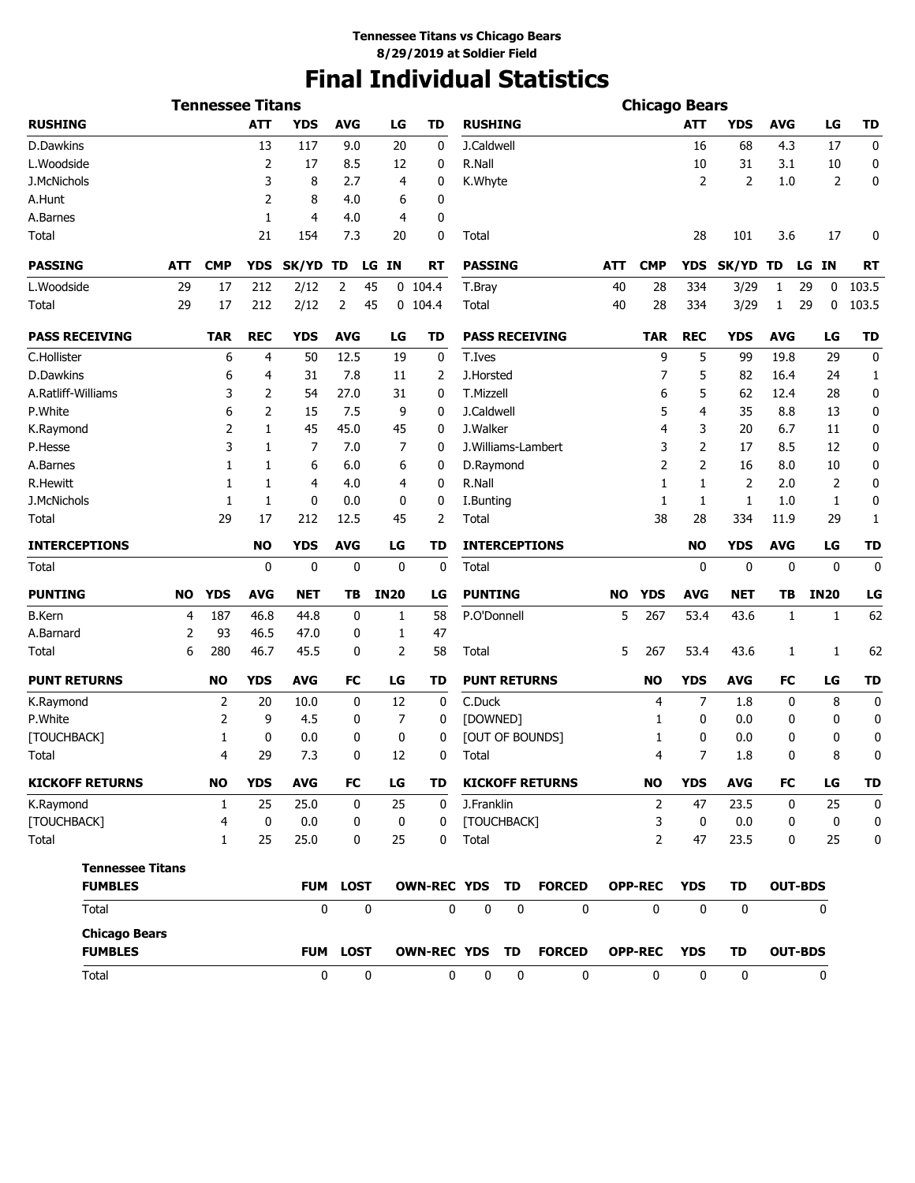# **Final Individual Statistics**

|                                        |           |              | <b>Tennessee Titans</b> |            |                 |             |                  |                |                     |             |                        |     | <b>Chicago Bears</b> |                  |             |             |                |              |
|----------------------------------------|-----------|--------------|-------------------------|------------|-----------------|-------------|------------------|----------------|---------------------|-------------|------------------------|-----|----------------------|------------------|-------------|-------------|----------------|--------------|
| <b>RUSHING</b>                         |           |              | <b>ATT</b>              | <b>YDS</b> | <b>AVG</b>      |             | LG               | TD             | <b>RUSHING</b>      |             |                        |     |                      | ATT              | <b>YDS</b>  | <b>AVG</b>  | LG             | <b>TD</b>    |
| D.Dawkins                              |           |              | 13                      | 117        | 9.0             |             | 20               | 0              | J.Caldwell          |             |                        |     |                      | 16               | 68          | 4.3         | 17             | 0            |
| L.Woodside                             |           |              | 2                       | 17         | 8.5             |             | 12               | 0              | R.Nall              |             |                        |     |                      | 10               | 31          | 3.1         | 10             | 0            |
| J.McNichols                            |           |              | 3                       | 8          | 2.7             |             | 4                | 0              | K.Whyte             |             |                        |     |                      | 2                | 2           | 1.0         | 2              | 0            |
| A.Hunt                                 |           |              | 2                       | 8          | 4.0             |             | 6                | 0              |                     |             |                        |     |                      |                  |             |             |                |              |
| A.Barnes                               |           |              | 1                       | 4          | 4.0             |             | 4                | 0              |                     |             |                        |     |                      |                  |             |             |                |              |
| Total                                  |           |              | 21                      | 154        | 7.3             |             | 20               | 0              | Total               |             |                        |     |                      | 28               | 101         | 3.6         | 17             | 0            |
| <b>PASSING</b>                         | ATT       | <b>CMP</b>   | <b>YDS</b>              | SK/YD      | TD              | LG IN       |                  | RT             | <b>PASSING</b>      |             |                        | ATT | <b>CMP</b>           | <b>YDS</b>       | SK/YD TD    |             | LG IN          | <b>RT</b>    |
| L.Woodside                             | 29        | 17           | 212                     | 2/12       | 2               | 45          |                  | $0$ 104.4      | T.Bray              |             |                        | 40  | 28                   | 334              | 3/29        | 1           | 29<br>0        | 103.5        |
| Total                                  | 29        | 17           | 212                     | 2/12       | 2               | 45          |                  | $0$ 104.4      | Total               |             |                        | 40  | 28                   | 334              | 3/29        | 1           | 29<br>0        | 103.5        |
| <b>PASS RECEIVING</b>                  |           | <b>TAR</b>   | <b>REC</b>              | <b>YDS</b> | <b>AVG</b>      |             | LG               | TD             |                     |             | <b>PASS RECEIVING</b>  |     | TAR                  | <b>REC</b>       | <b>YDS</b>  | <b>AVG</b>  | LG             | TD           |
| C.Hollister                            |           | 6            | 4                       | 50         | 12.5            |             | 19               | 0              | T.Ives              |             |                        |     | 9                    | 5                | 99          | 19.8        | 29             | 0            |
| <b>D.Dawkins</b>                       |           | 6            | 4                       | 31         | 7.8             |             | 11               | 2              | J.Horsted           |             |                        |     | 7                    | 5                | 82          | 16.4        | 24             | 1            |
| A.Ratliff-Williams                     |           | 3            | 2                       | 54         | 27.0            |             | 31               | 0              | T.Mizzell           |             |                        |     | 6                    | 5                | 62          | 12.4        | 28             | 0            |
| P.White                                |           | 6            | 2                       | 15         | 7.5             |             | 9                | 0              | J.Caldwell          |             |                        |     | 5                    | 4                | 35          | 8.8         | 13             | 0            |
| K.Raymond                              |           | 2            | 1                       | 45         | 45.0            |             | 45               | 0              | J.Walker            |             |                        |     | 4                    | 3                | 20          | 6.7         | 11             | 0            |
| P.Hesse                                |           | 3            | 1                       | 7          | 7.0             |             | 7                | 0              |                     |             | J. Williams-Lambert    |     | 3                    | 2                | 17          | 8.5         | 12             | 0            |
| A.Barnes                               |           | 1            | 1                       | 6          | 6.0             |             | 6                | 0              | D.Raymond           |             |                        |     | 2                    | $\overline{2}$   | 16          | 8.0         | 10             | 0            |
| <b>R.Hewitt</b>                        |           | 1            | 1                       | 4          | 4.0             |             | 4                | 0              | R.Nall              |             |                        |     | 1                    | 1                | 2           | 2.0         | 2              | 0            |
| J.McNichols                            |           | 1            | 1                       | 0          | 0.0             |             | 0                | 0              | I.Bunting           |             |                        |     | 1                    | 1                | 1           | 1.0         | 1              | 0            |
| Total                                  |           | 29           | 17                      | 212        | 12.5            |             | 45               | 2              | Total               |             |                        |     | 38                   | 28               | 334         | 11.9        | 29             | 1            |
| <b>INTERCEPTIONS</b>                   |           |              | <b>NO</b>               | <b>YDS</b> | <b>AVG</b>      |             | LG               | <b>TD</b>      |                     |             | <b>INTERCEPTIONS</b>   |     |                      | <b>NO</b>        | <b>YDS</b>  | <b>AVG</b>  | LG             | <b>TD</b>    |
| Total                                  |           |              | 0                       | 0          | 0               |             | 0                | 0              | Total               |             |                        |     |                      | 0                | 0           | 0           | 0              | $\bf{0}$     |
| <b>PUNTING</b>                         | <b>NO</b> | <b>YDS</b>   | <b>AVG</b>              | <b>NET</b> | TВ              | <b>IN20</b> |                  | LG             | <b>PUNTING</b>      |             |                        | NO  | <b>YDS</b>           | <b>AVG</b>       | <b>NET</b>  | TВ          | <b>IN20</b>    | LG           |
| <b>B.Kern</b>                          | 4         | 187          | 46.8                    | 44.8       | 0               |             | 1                | 58             | P.O'Donnell         |             |                        | 5   | 267                  | 53.4             | 43.6        | 1           | 1              | 62           |
| A.Barnard                              | 2         | 93           | 46.5                    | 47.0       | 0               |             | $\mathbf{1}$     | 47             |                     |             |                        |     |                      |                  |             |             |                |              |
| Total                                  | 6         | 280          | 46.7                    | 45.5       | 0               |             | 2                | 58             | Total               |             |                        | 5   | 267                  | 53.4             | 43.6        | 1           | 1              | 62           |
| <b>PUNT RETURNS</b>                    |           | <b>NO</b>    | <b>YDS</b>              | <b>AVG</b> | FC              |             | LG               | TD             | <b>PUNT RETURNS</b> |             |                        |     | NO                   | <b>YDS</b>       | <b>AVG</b>  | <b>FC</b>   | LG             | <b>TD</b>    |
| K.Raymond                              |           | 2            | 20                      | 10.0       | 0               |             | 12               | 0              | C.Duck              |             |                        |     | 4                    | 7                | 1.8         | 0           | 8              | 0            |
| P.White                                |           | 2            | 9                       | 4.5        | 0               |             | 7                | 0              | [DOWNED]            |             |                        |     | 1                    | 0                | 0.0         | 0           | 0              | 0            |
| [TOUCHBACK]                            |           | 1            | 0                       | 0.0        | 0               |             | 0                | 0              |                     |             | [OUT OF BOUNDS]        |     | 1                    | 0                | 0.0         | 0           | 0              | 0            |
| Total                                  |           | 4            | 29                      | 7.3        | 0               |             | 12               | 0              | Total               |             |                        |     | 4                    | 7                | 1.8         | 0           | 8              | 0            |
| <b>KICKOFF RETURNS</b>                 |           | <b>NO</b>    | <b>YDS</b>              | <b>AVG</b> | FC              |             | LG               | TD             |                     |             | <b>KICKOFF RETURNS</b> |     | <b>NO</b>            | <b>YDS</b>       | <b>AVG</b>  | FC          | LG             | <b>TD</b>    |
| K.Raymond                              |           | $\mathbf{1}$ | 25                      | 25.0       | $\mathbf 0$     |             | 25               | $\mathbf 0$    | J.Franklin          |             |                        |     | $\overline{2}$       | 47               | 23.5        | $\mathbf 0$ | 25             | $\mathbf{0}$ |
| [TOUCHBACK]                            |           | 4            | 0                       | 0.0        | 0               |             | $\boldsymbol{0}$ | 0              | [TOUCHBACK]         |             |                        |     | 3                    | $\boldsymbol{0}$ | 0.0         | 0           | 0              | 0            |
| Total                                  |           | $\mathbf{1}$ | 25                      | 25.0       | 0               |             | 25               | 0              | Total               |             |                        |     | 2                    | 47               | 23.5        | 0           | 25             | $\bf{0}$     |
| <b>Tennessee Titans</b>                |           |              |                         |            |                 |             |                  |                |                     |             |                        |     |                      |                  |             |             |                |              |
| <b>FUMBLES</b>                         |           |              |                         | <b>FUM</b> | <b>LOST</b>     |             |                  | OWN-REC YDS TD |                     |             | <b>FORCED</b>          |     | <b>OPP-REC</b>       | <b>YDS</b>       | <b>TD</b>   |             | <b>OUT-BDS</b> |              |
| Total                                  |           |              |                         | 0          |                 | $\mathbf 0$ |                  | 0              | $\mathbf 0$         | $\mathbf 0$ | $\mathbf 0$            |     | $\mathbf 0$          | $\mathbf{0}$     | $\mathbf 0$ |             | $\mathbf{0}$   |              |
| <b>Chicago Bears</b><br><b>FUMBLES</b> |           |              |                         |            | <b>FUM LOST</b> |             |                  | OWN-REC YDS TD |                     |             | <b>FORCED</b>          |     | <b>OPP-REC</b>       | <b>YDS</b>       | <b>TD</b>   |             | <b>OUT-BDS</b> |              |
| Total                                  |           |              |                         | $\bf{0}$   |                 | $\mathbf 0$ |                  | $\mathbf 0$    | $\mathbf 0$         | $\pmb{0}$   | $\mathbf 0$            |     | $\mathbf 0$          | $\mathbf 0$      | $\mathbf 0$ |             | $\mathbf 0$    |              |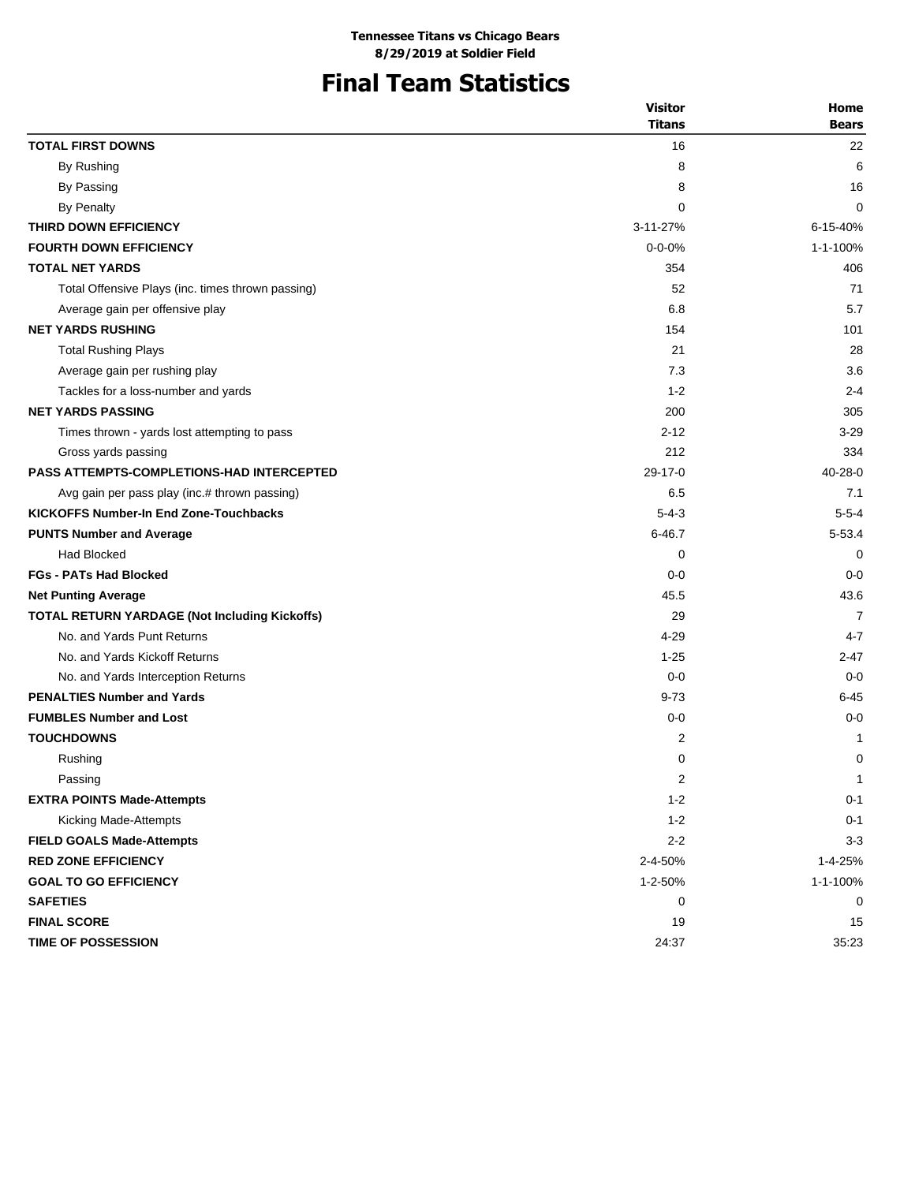# **Final Team Statistics**

|                                                      | <b>Visitor</b> | Home          |
|------------------------------------------------------|----------------|---------------|
|                                                      | Titans         | <b>Bears</b>  |
| <b>TOTAL FIRST DOWNS</b>                             | 16             | 22            |
| By Rushing                                           | 8              | 6             |
| By Passing                                           | 8              | 16            |
| By Penalty                                           | 0              | 0             |
| THIRD DOWN EFFICIENCY                                | 3-11-27%       | 6-15-40%      |
| <b>FOURTH DOWN EFFICIENCY</b>                        | $0 - 0 - 0%$   | 1-1-100%      |
| <b>TOTAL NET YARDS</b>                               | 354            | 406           |
| Total Offensive Plays (inc. times thrown passing)    | 52             | 71            |
| Average gain per offensive play                      | 6.8            | 5.7           |
| <b>NET YARDS RUSHING</b>                             | 154            | 101           |
| <b>Total Rushing Plays</b>                           | 21             | 28            |
| Average gain per rushing play                        | 7.3            | 3.6           |
| Tackles for a loss-number and yards                  | $1 - 2$        | $2 - 4$       |
| <b>NET YARDS PASSING</b>                             | 200            | 305           |
| Times thrown - yards lost attempting to pass         | $2 - 12$       | 3-29          |
| Gross yards passing                                  | 212            | 334           |
| <b>PASS ATTEMPTS-COMPLETIONS-HAD INTERCEPTED</b>     | $29-17-0$      | $40 - 28 - 0$ |
| Avg gain per pass play (inc.# thrown passing)        | 6.5            | 7.1           |
| <b>KICKOFFS Number-In End Zone-Touchbacks</b>        | $5 - 4 - 3$    | $5 - 5 - 4$   |
| <b>PUNTS Number and Average</b>                      | $6 - 46.7$     | $5 - 53.4$    |
| <b>Had Blocked</b>                                   | 0              | 0             |
| <b>FGs - PATs Had Blocked</b>                        | $0 - 0$        | $0 - 0$       |
| <b>Net Punting Average</b>                           | 45.5           | 43.6          |
| <b>TOTAL RETURN YARDAGE (Not Including Kickoffs)</b> | 29             | 7             |
| No. and Yards Punt Returns                           | $4 - 29$       | $4 - 7$       |
| No. and Yards Kickoff Returns                        | $1 - 25$       | $2 - 47$      |
| No. and Yards Interception Returns                   | $0 - 0$        | $0 - 0$       |
| <b>PENALTIES Number and Yards</b>                    | $9 - 73$       | $6 - 45$      |
| <b>FUMBLES Number and Lost</b>                       | $0 - 0$        | $0 - 0$       |
| <b>TOUCHDOWNS</b>                                    | 2              | 1             |
| Rushing                                              | 0              | 0             |
| Passing                                              | 2              | $\mathbf{1}$  |
| <b>EXTRA POINTS Made-Attempts</b>                    | $1 - 2$        | $0 - 1$       |
| Kicking Made-Attempts                                | $1 - 2$        | $0 - 1$       |
| <b>FIELD GOALS Made-Attempts</b>                     | $2 - 2$        | $3 - 3$       |
| <b>RED ZONE EFFICIENCY</b>                           | 2-4-50%        | 1-4-25%       |
| <b>GOAL TO GO EFFICIENCY</b>                         | 1-2-50%        | 1-1-100%      |
| <b>SAFETIES</b>                                      | 0              | 0             |
| <b>FINAL SCORE</b>                                   | 19             | 15            |
| TIME OF POSSESSION                                   | 24:37          | 35:23         |
|                                                      |                |               |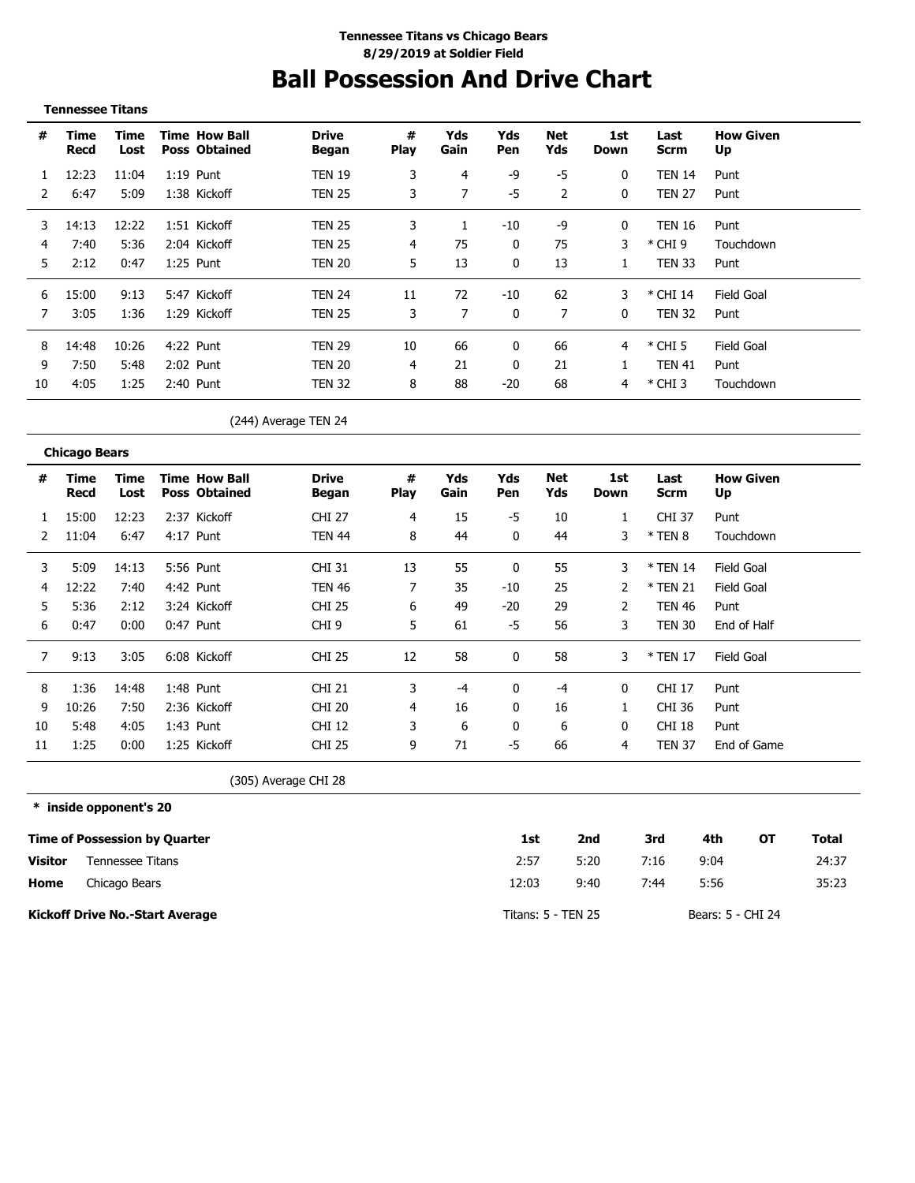# **Ball Possession And Drive Chart**

| <b>Tennessee Titans</b> |  |
|-------------------------|--|
|-------------------------|--|

\_\_\_\_\_\_\_\_\_\_\_\_\_\_\_\_\_\_\_\_

| #  | Time<br>Recd | Time<br>Lost | <b>Time How Ball</b><br><b>Poss Obtained</b> | <b>Drive</b><br>Began | #<br><b>Play</b> | Yds<br>Gain | Yds<br><b>Pen</b> | Net<br>Yds | 1st<br>Down  | Last<br>Scrm  | <b>How Given</b><br>Up |
|----|--------------|--------------|----------------------------------------------|-----------------------|------------------|-------------|-------------------|------------|--------------|---------------|------------------------|
|    | 12:23        | 11:04        | $1:19$ Punt                                  | <b>TEN 19</b>         | 3                | 4           | -9                | -5         | 0            | <b>TEN 14</b> | Punt                   |
|    | 6:47         | 5:09         | 1:38 Kickoff                                 | <b>TEN 25</b>         | 3                |             | -5                | 2          | 0            | <b>TEN 27</b> | Punt                   |
| 3  | 14:13        | 12:22        | 1:51 Kickoff                                 | <b>TEN 25</b>         | 3                |             | -10               | -9         | 0            | TEN 16        | Punt                   |
|    | 7:40         | 5:36         | 2:04 Kickoff                                 | TEN 25                |                  | 75          | 0                 | 75         | 3            | $*$ CHI 9     | Touchdown              |
| 5. | 2:12         | 0:47         | $1:25$ Punt                                  | <b>TEN 20</b>         | 5                | 13          | 0                 | 13         |              | TEN 33        | Punt                   |
| 6  | 15:00        | 9:13         | 5:47 Kickoff                                 | <b>TFN 24</b>         | 11               | 72          | $-10$             | 62         |              | * CHI 14      | <b>Field Goal</b>      |
|    | 3:05         | 1:36         | 1:29 Kickoff                                 | <b>TEN 25</b>         | 3                |             | 0                 |            | $\mathbf{0}$ | <b>TEN 32</b> | Punt                   |
| 8  | 14:48        | 10:26        | 4:22 Punt                                    | <b>TFN 29</b>         | 10               | 66          | 0                 | 66         |              | $*$ CHI 5     | Field Goal             |
| 9  | 7:50         | 5:48         | 2:02 Punt                                    | <b>TEN 20</b>         | 4                | 21          | 0                 | 21         |              | <b>TEN 41</b> | Punt                   |
| 10 | 4:05         | 1:25         | $2:40$ Punt                                  | <b>TEN 32</b>         | 8                | 88          | $-20$             | 68         | 4            | $*$ CHI 3     | Touchdown              |

(244) Average TEN 24

|    | <b>Chicago Bears</b> |              |                                              |                       |           |             |            |            |              |                     |                        |
|----|----------------------|--------------|----------------------------------------------|-----------------------|-----------|-------------|------------|------------|--------------|---------------------|------------------------|
| #  | Time<br>Recd         | Time<br>Lost | <b>Time How Ball</b><br><b>Poss Obtained</b> | <b>Drive</b><br>Began | #<br>Play | Yds<br>Gain | Yds<br>Pen | Net<br>Yds | 1st<br>Down  | Last<br><b>Scrm</b> | <b>How Given</b><br>Up |
|    | 15:00                | 12:23        | 2:37 Kickoff                                 | <b>CHI 27</b>         | 4         | 15          | -5         | 10         |              | <b>CHI 37</b>       | Punt                   |
|    | 11:04                | 6:47         | 4:17 Punt                                    | TEN 44                | 8         | 44          | 0          | 44         | 3            | $*$ TEN 8           | Touchdown              |
| 3  | 5:09                 | 14:13        | 5:56 Punt                                    | <b>CHI 31</b>         | 13        | 55          |            | 55         | 3            | * TEN 14            | Field Goal             |
| 4  | 12:22                | 7:40         | 4:42 Punt                                    | TEN 46                |           | 35          | -10        | 25         |              | * TEN 21            | Field Goal             |
| 5  | 5:36                 | 2:12         | 3:24 Kickoff                                 | <b>CHI 25</b>         | 6         | 49          | $-20$      | 29         |              | <b>TEN 46</b>       | Punt                   |
| 6  | 0:47                 | 0:00         | 0:47 Punt                                    | CHI <sub>9</sub>      | 5         | 61          | -5         | 56         | 3            | <b>TEN 30</b>       | End of Half            |
|    | 9:13                 | 3:05         | 6:08 Kickoff                                 | <b>CHI 25</b>         | 12        | 58          | 0          | 58         | 3            | * TEN 17            | Field Goal             |
| 8  | 1:36                 | 14:48        | 1:48 Punt                                    | <b>CHI 21</b>         | 3         | -4          | 0          | -4         | 0            | CHI 17              | Punt                   |
| 9  | 10:26                | 7:50         | 2:36 Kickoff                                 | <b>CHI 20</b>         | 4         | 16          | 0          | 16         |              | CHI 36              | Punt                   |
| 10 | 5:48                 | 4:05         | 1:43 Punt                                    | <b>CHI 12</b>         | 3         | 6           | 0          | 6          | $\mathbf{0}$ | CHI 18              | Punt                   |
| 11 | 1:25                 | 0:00         | 1:25 Kickoff                                 | <b>CHI 25</b>         | 9         | 71          | -5         | 66         | 4            | <b>TEN 37</b>       | End of Game            |

(305) Average CHI 28

**\* inside opponent's 20**

|                | Time of Possession by Quarter          | 1st                | 2nd  | 3rd  | 4th               | OТ | Total |
|----------------|----------------------------------------|--------------------|------|------|-------------------|----|-------|
| <b>Visitor</b> | Tennessee Titans                       | 2:57               | 5:20 | 7:16 | 9:04              |    | 24:37 |
| Home           | Chicago Bears                          | 12:03              | 9:40 | 7:44 | 5:56              |    | 35:23 |
|                | <b>Kickoff Drive No.-Start Average</b> | Titans: 5 - TEN 25 |      |      | Bears: 5 - CHI 24 |    |       |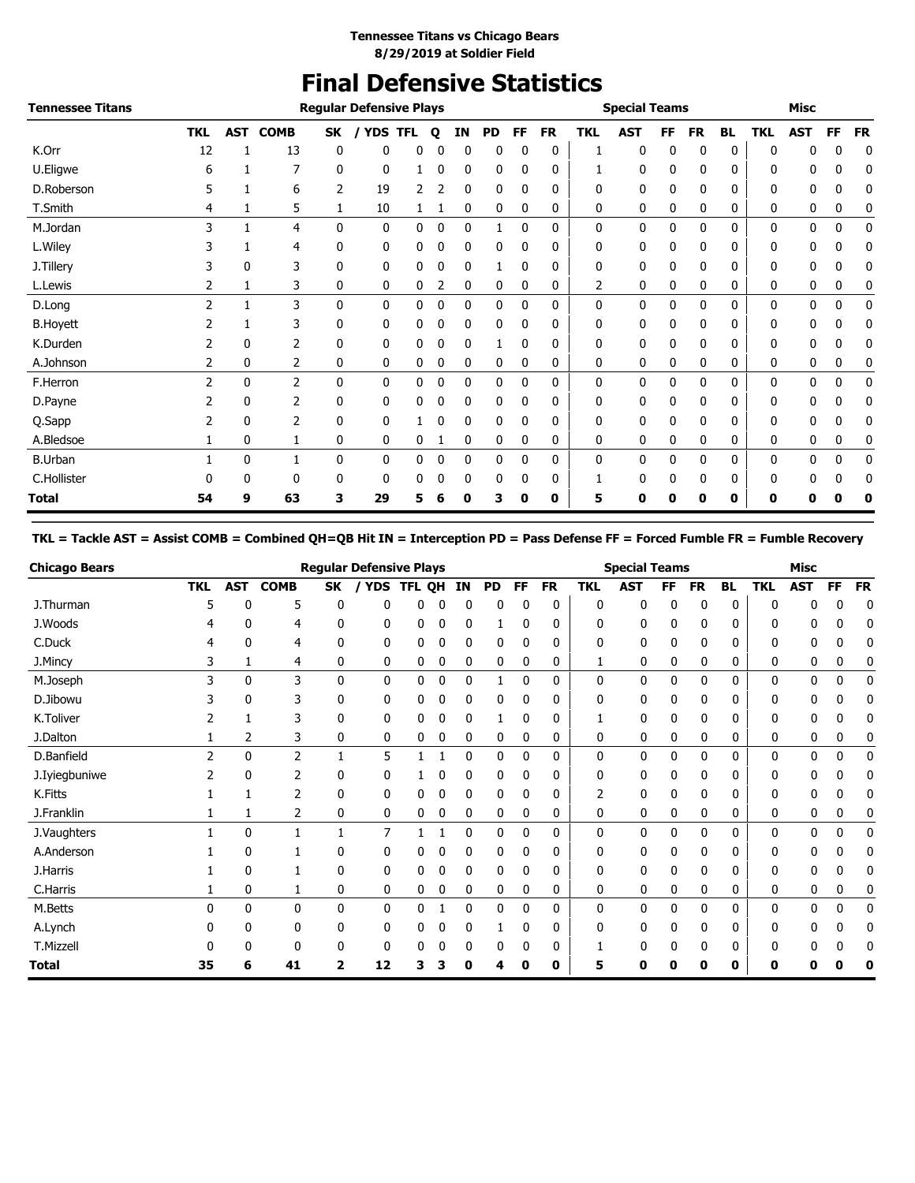## **Final Defensive Statistics**

| <b>Tennessee Titans</b> |                |            |                |              | <b>Regular Defensive Plays</b> |            |              |             |           |              |           |              | <b>Special Teams</b> |    |              |           |              | <b>Misc</b> |             |           |
|-------------------------|----------------|------------|----------------|--------------|--------------------------------|------------|--------------|-------------|-----------|--------------|-----------|--------------|----------------------|----|--------------|-----------|--------------|-------------|-------------|-----------|
|                         | <b>TKL</b>     | <b>AST</b> | <b>COMB</b>    | SK           | <b>YDS</b>                     | <b>TFL</b> | $\mathbf o$  | ΙN          | <b>PD</b> | FF           | <b>FR</b> | <b>TKL</b>   | <b>AST</b>           | FF | <b>FR</b>    | <b>BL</b> | <b>TKL</b>   | <b>AST</b>  | FF          | <b>FR</b> |
| K.Orr                   | 12             |            | 13             | 0            | 0                              | 0          |              | 0           | 0         | 0            | 0         |              | 0                    | 0  | 0            | 0         | 0            | 0           | 0           | 0         |
| U.Eligwe                | 6              |            |                | $\mathbf{0}$ | 0                              |            | O            | 0           | 0         | 0            | 0         |              | 0                    | 0  | 0            | 0         | 0            | 0           | 0           | 0         |
| D.Roberson              | 5              |            | 6              | 2            | 19                             | 2          |              | 0           | 0         | 0            | 0         | 0            | 0                    | 0  | 0            | 0         | 0            | 0           | 0           | 0         |
| T.Smith                 | 4              | 1          | 5              | 1            | 10                             |            |              | 0           | 0         | 0            | 0         | 0            | 0                    | 0  | 0            | 0         | 0            | 0           | 0           | 0         |
| M.Jordan                | 3              |            | 4              | $\mathbf{0}$ | $\mathbf{0}$                   | 0          | ŋ            | 0           |           | 0            | 0         | $\mathbf{0}$ | 0                    | 0  | $\mathbf{0}$ | 0         | 0            | 0           | $\mathbf 0$ | 0         |
| L.Wiley                 |                |            | 4              | 0            | 0                              | 0          | 0            | 0           | 0         | 0            | 0         | 0            | 0                    | 0  | 0            | 0         | 0            | 0           | 0           | 0         |
| J.Tillery               |                | 0          | 3              | 0            | 0                              | 0          | 0            | 0           |           | 0            | 0         | 0            | 0                    | 0  | 0            | 0         | 0            | 0           | 0           | 0         |
| L.Lewis                 | 2              | 1          | 3              | 0            | 0                              | 0          | 2            | 0           | 0         | 0            | 0         | 2            | 0                    | 0  | 0            | 0         | 0            | 0           | 0           | 0         |
| D.Long                  | $\overline{2}$ |            | 3              | $\mathbf{0}$ | $\mathbf{0}$                   | 0          | 0            | $\mathbf 0$ | 0         | $\mathbf{0}$ | 0         | 0            | 0                    | 0  | $\mathbf{0}$ | 0         | 0            | 0           | 0           | 0         |
| <b>B.Hoyett</b>         |                |            | 3              | 0            | 0                              | 0          | 0            | 0           | 0         | 0            | 0         | 0            | 0                    | 0  | 0            | 0         | 0            | 0           | 0           | 0         |
| K.Durden                |                | 0          | 2              | 0            | 0                              | 0          | 0            | 0           | 1         | 0            | 0         | 0            | 0                    | 0  | 0            | 0         | 0            | 0           | 0           | 0         |
| A.Johnson               | 2              | 0          | 2              | 0            | 0                              | 0          | 0            | 0           | 0         | 0            | 0         | 0            | 0                    | 0  | 0            | 0         | 0            | 0           | 0           | 0         |
| F.Herron                | $\overline{2}$ | 0          | $\overline{2}$ | $\mathbf{0}$ | 0                              | 0          | $\mathbf{0}$ | $\mathbf 0$ | 0         | 0            | 0         | $\mathbf{0}$ | 0                    | 0  | 0            | 0         | 0            | 0           | 0           | 0         |
| D.Payne                 |                | 0          | 2              | $\mathbf{0}$ | $\mathbf{0}$                   | 0          |              | 0           | 0         | 0            | 0         | 0            | 0                    | 0  | 0            | 0         | 0            | 0           | 0           | 0         |
| Q.Sapp                  |                | 0          | 2              | 0            | 0                              |            |              | 0           | 0         | 0            | 0         | 0            | 0                    | 0  | 0            | 0         | 0            | 0           | 0           | 0         |
| A.Bledsoe               |                | 0          |                | 0            | 0                              | 0          |              | 0           | 0         | 0            | 0         | 0            | 0                    | 0  | 0            | 0         | 0            | 0           | 0           | 0         |
| <b>B.Urban</b>          |                | 0          |                | 0            | 0                              | 0          | 0            | $\mathbf 0$ | 0         | 0            | 0         | 0            | 0                    | 0  | 0            | 0         | 0            | 0           | 0           | 0         |
| C.Hollister             | 0              | 0          | 0              | 0            | 0                              | 0          | 0            | 0           | 0         | 0            | 0         | 1            | 0                    | 0  | 0            | 0         | $\mathbf{0}$ | 0           | 0           | 0         |
| Total                   | 54             | 9          | 63             | 3            | 29                             | 5          |              | 0           | 3         | 0            | 0         | 5            | O                    | 0  | 0            | 0         | 0            | Ω           |             |           |

### **TKL = Tackle AST = Assist COMB = Combined QH=QB Hit IN = Interception PD = Pass Defense FF = Forced Fumble FR = Fumble Recovery**

| <b>Chicago Bears</b> |               |             |                |           | <b>Regular Defensive Plays</b> |            |   |    |    |           |           |              | <b>Special Teams</b> |           |           |           |              | <b>Misc</b>  |           |           |
|----------------------|---------------|-------------|----------------|-----------|--------------------------------|------------|---|----|----|-----------|-----------|--------------|----------------------|-----------|-----------|-----------|--------------|--------------|-----------|-----------|
|                      | <b>TKL</b>    | <b>AST</b>  | <b>COMB</b>    | <b>SK</b> |                                | YDS TFL QH |   | IN | PD | <b>FF</b> | <b>FR</b> | <b>TKL</b>   | <b>AST</b>           | <b>FF</b> | <b>FR</b> | <b>BL</b> | <b>TKL</b>   | <b>AST</b>   | <b>FF</b> | <b>FR</b> |
| J.Thurman            | 5             | O           | 5              | 0         | U                              |            |   |    | 0  |           | 0         | 0            | 0                    | 0         | 0         | 0         | 0            |              | 0         | 0         |
| J.Woods              |               | 0           | 4              | 0         | 0                              | 0          | 0 | 0  |    | 0         | 0         | 0            | 0                    | 0         | 0         | 0         | 0            | 0            | 0         | 0         |
| C.Duck               | 4             | 0           | 4              | 0         | 0                              | 0          | 0 | 0  | 0  | 0         | 0         | 0            | 0                    | 0         | 0         | 0         | 0            | 0            | 0         | 0         |
| J.Mincy              | 3             |             | 4              | 0         | 0                              | 0          | 0 | 0  | 0  | 0         | 0         | 1            | 0                    | 0         | 0         | 0         | 0            | 0            | 0         | 0         |
| M.Joseph             | 3             | 0           | 3              | 0         | 0                              | 0          | 0 | 0  |    | 0         | 0         | $\mathbf{0}$ | 0                    | 0         | 0         | 0         | 0            | 0            | 0         | 0         |
| D.Jibowu             |               | 0           | 3              | 0         | 0                              | 0          | 0 | 0  | 0  | 0         | 0         | 0            | 0                    | 0         | 0         | 0         | 0            | 0            | 0         | 0         |
| K.Toliver            |               |             | 3              | 0         | 0                              | 0          | 0 |    |    |           | 0         |              | 0                    | 0         | 0         | 0         | 0            | 0            | 0         | 0         |
| J.Dalton             |               | 2           | 3              | 0         | 0                              | 0          | 0 | 0  | 0  | 0         | 0         | 0            | 0                    | 0         | 0         | 0         | 0            | 0            | 0         | 0         |
| D.Banfield           | $\mathcal{P}$ | 0           | $\overline{2}$ |           | 5                              |            |   | 0  | 0  | $\Omega$  | 0         | $\mathbf{0}$ | 0                    | 0         | 0         | 0         | $\mathbf{0}$ | $\mathbf{0}$ | 0         | 0         |
| J. Iyiegbuniwe       |               | 0           | 2              | 0         | 0                              |            | 0 | 0  | 0  | $\Omega$  | 0         | 0            | 0                    | 0         | 0         | 0         | 0            | 0            | 0         | 0         |
| K.Fitts              |               |             | 2              | 0         | 0                              | 0          | 0 | 0  | 0  | 0         | 0         |              | 0                    | 0         | 0         | 0         | $\Omega$     | 0            | 0         | 0         |
| J.Franklin           |               | 1           | 2              | 0         | 0                              | 0          | 0 | 0  | 0  | 0         | 0         | 0            | 0                    | 0         | 0         | 0         | 0            | 0            | 0         | 0         |
| J.Vaughters          |               | $\mathbf 0$ | 1              |           | 7                              |            |   | 0  | 0  | $\Omega$  | 0         | 0            | 0                    | 0         | 0         | 0         | 0            | 0            | 0         | 0         |
| A.Anderson           |               | 0           |                | 0         | 0                              | 0          | 0 | 0  | 0  | 0         | 0         | 0            | 0                    | 0         | 0         | 0         | 0            | 0            | 0         | 0         |
| J.Harris             |               | 0           |                | 0         | 0                              | 0          | 0 | 0  | 0  | 0         | 0         | 0            | 0                    | 0         | 0         | 0         | 0            | 0            | 0         | 0         |
| C.Harris             |               | 0           |                | 0         | 0                              | 0          | 0 | 0  | 0  | 0         | 0         | 0            | 0                    | 0         | 0         | 0         | 0            | 0            | 0         | 0         |
| M.Betts              | 0             | 0           | $\mathbf{0}$   | 0         | 0                              | 0          |   | 0  | 0  | 0         | 0         | 0            | $\mathbf 0$          | 0         | 0         | 0         | $\mathbf{0}$ | 0            | 0         | 0         |
| A.Lynch              |               | 0           | 0              | 0         | 0                              | 0          | ი | 0  |    | 0         | 0         | 0            | 0                    | 0         | 0         | 0         | 0            | 0            | 0         | 0         |
| T.Mizzell            |               |             | 0              | 0         | 0                              | 0          | 0 |    | 0  |           | 0         |              | 0                    |           | 0         | 0         | 0            | 0            | 0         |           |
| <b>Total</b>         | 35            | 6           | 41             | 2         | 12                             | 3          |   | Ω  | 4  | 0         | 0         | 5            | 0                    |           | 0         | 0         | 0            | Ω            |           | 0         |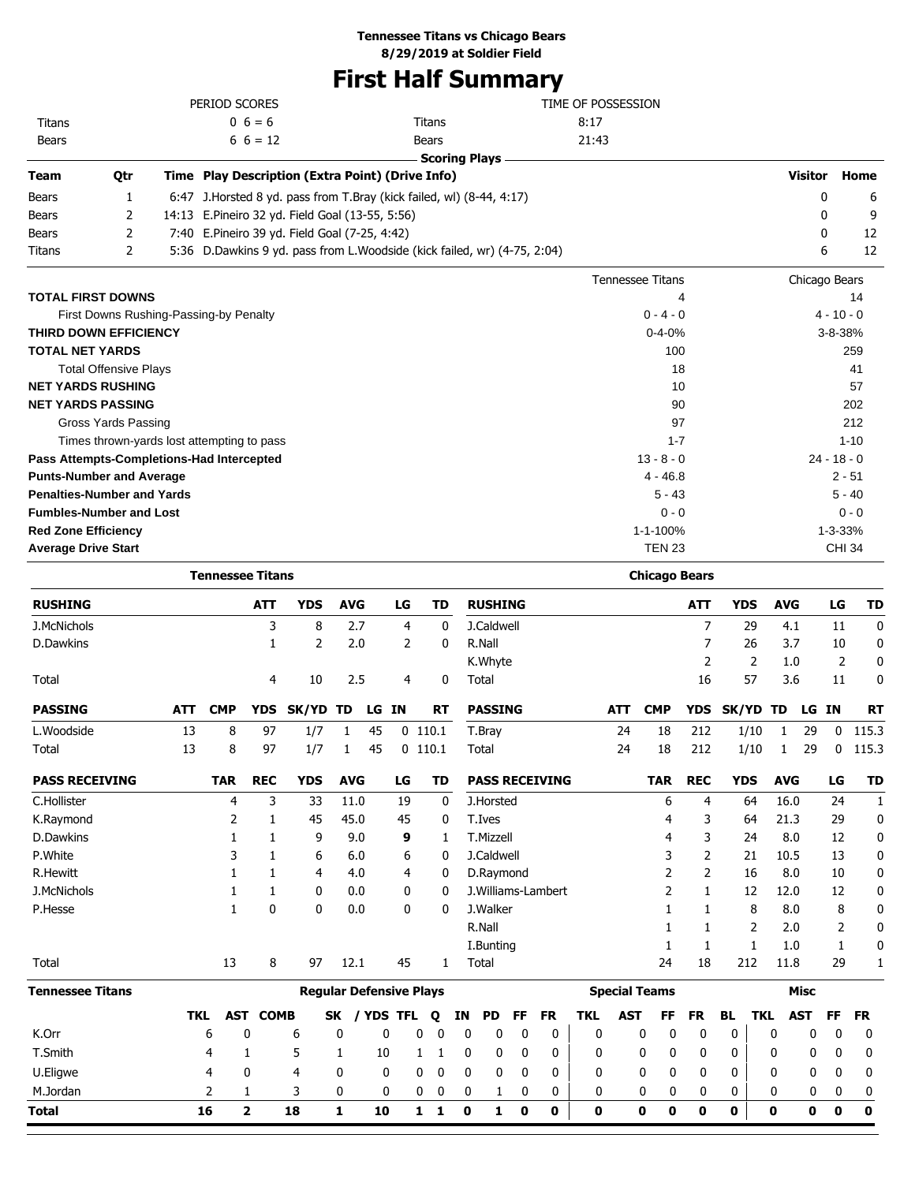## **Tennessee Titans vs Chicago Bears**

**8/29/2019 at Soldier Field**

# **First Half Summary**

|               |                                   | PERIOD SCORES                                    |                                                                          | TIME OF POSSESSION      |                |               |
|---------------|-----------------------------------|--------------------------------------------------|--------------------------------------------------------------------------|-------------------------|----------------|---------------|
| <b>Titans</b> |                                   | $0\;6=6$                                         | Titans                                                                   | 8:17                    |                |               |
| <b>Bears</b>  |                                   | $6\; 6 = 12$                                     | <b>Bears</b>                                                             | 21:43                   |                |               |
|               |                                   |                                                  | <b>Scoring Plays</b>                                                     |                         |                |               |
| <b>Team</b>   | Qtr                               | Time Play Description (Extra Point) (Drive Info) |                                                                          |                         | <b>Visitor</b> | Home          |
| <b>Bears</b>  | 1                                 |                                                  | 6:47 J.Horsted 8 yd. pass from T.Bray (kick failed, wl) (8-44, 4:17)     |                         | 0              | 6             |
| <b>Bears</b>  | 2                                 | 14:13 E.Pineiro 32 yd. Field Goal (13-55, 5:56)  |                                                                          |                         | 0              | 9             |
| <b>Bears</b>  | 2                                 | 7:40 E.Pineiro 39 yd. Field Goal (7-25, 4:42)    |                                                                          |                         | $\Omega$       | 12            |
| <b>Titans</b> | 2                                 |                                                  | 5:36 D.Dawkins 9 yd. pass from L.Woodside (kick failed, wr) (4-75, 2:04) |                         | 6              | 12            |
|               |                                   |                                                  |                                                                          | <b>Tennessee Titans</b> | Chicago Bears  |               |
|               | <b>TOTAL FIRST DOWNS</b>          |                                                  |                                                                          | 4                       |                | 14            |
|               |                                   | First Downs Rushing-Passing-by Penalty           |                                                                          | $0 - 4 - 0$             |                | $4 - 10 - 0$  |
|               | <b>THIRD DOWN EFFICIENCY</b>      |                                                  |                                                                          | $0 - 4 - 0%$            |                | 3-8-38%       |
|               | <b>TOTAL NET YARDS</b>            |                                                  |                                                                          | 100                     |                | 259           |
|               | <b>Total Offensive Plays</b>      |                                                  |                                                                          | 18                      |                | 41            |
|               | <b>NET YARDS RUSHING</b>          |                                                  |                                                                          | 10                      |                | 57            |
|               | <b>NET YARDS PASSING</b>          |                                                  |                                                                          | 90                      |                | 202           |
|               | Gross Yards Passing               |                                                  |                                                                          | 97                      |                | 212           |
|               |                                   | Times thrown-yards lost attempting to pass       |                                                                          | $1 - 7$                 |                | $1 - 10$      |
|               |                                   | Pass Attempts-Completions-Had Intercepted        |                                                                          | $13 - 8 - 0$            |                | $24 - 18 - 0$ |
|               | <b>Punts-Number and Average</b>   |                                                  |                                                                          | $4 - 46.8$              |                | $2 - 51$      |
|               | <b>Penalties-Number and Yards</b> |                                                  |                                                                          | $5 - 43$                |                | $5 - 40$      |
|               | <b>Fumbles-Number and Lost</b>    |                                                  |                                                                          | $0 - 0$                 |                | $0 - 0$       |
|               | <b>Red Zone Efficiency</b>        |                                                  |                                                                          | 1-1-100%                |                | $1 - 3 - 33%$ |
|               | <b>Average Drive Start</b>        |                                                  |                                                                          | <b>TEN 23</b>           |                | <b>CHI 34</b> |
|               |                                   |                                                  |                                                                          |                         |                |               |

|                         | <b>Tennessee Titans</b> |              |                |                                |              |            |                |              |              |              |                |              |                       |              |            | <b>Chicago Bears</b>         |                |              |            |              |              |             |
|-------------------------|-------------------------|--------------|----------------|--------------------------------|--------------|------------|----------------|--------------|--------------|--------------|----------------|--------------|-----------------------|--------------|------------|------------------------------|----------------|--------------|------------|--------------|--------------|-------------|
| <b>RUSHING</b>          |                         |              | <b>ATT</b>     | <b>YDS</b>                     | <b>AVG</b>   |            | LG             |              | <b>TD</b>    |              | <b>RUSHING</b> |              |                       |              |            |                              | <b>ATT</b>     | <b>YDS</b>   |            | <b>AVG</b>   | LG           | <b>TD</b>   |
| J.McNichols             |                         |              | 3              | 8                              | 2.7          |            | 4              |              | 0            |              | J.Caldwell     |              |                       |              |            |                              | 7              | 29           |            | 4.1          | 11           | 0           |
| D.Dawkins               |                         |              | $\mathbf{1}$   | $\overline{2}$                 | 2.0          |            | $\overline{2}$ |              | 0            |              | R.Nall         |              |                       |              |            |                              | 7              | 26           |            | 3.7          | 10           | $\mathbf 0$ |
|                         |                         |              |                |                                |              |            |                |              |              |              | K.Whyte        |              |                       |              |            |                              | $\overline{2}$ | 2            |            | 1.0          | 2            | $\mathbf 0$ |
| Total                   |                         |              | 4              | 10                             | 2.5          |            | 4              |              | 0            |              | Total          |              |                       |              |            |                              | 16             | 57           |            | 3.6          | 11           | 0           |
| <b>PASSING</b>          | <b>ATT</b>              | <b>CMP</b>   | <b>YDS</b>     | <b>SK/YD</b>                   | TD           | LG.        | <b>IN</b>      |              | <b>RT</b>    |              | <b>PASSING</b> |              |                       |              | <b>ATT</b> | <b>CMP</b>                   | <b>YDS</b>     | SK/YD        | TD         | LG           | <b>IN</b>    | <b>RT</b>   |
| L.Woodside              | 13                      | 8            | 97             | 1/7                            | 1            | 45         |                | $0$ 110.1    |              |              | T.Bray         |              |                       |              | 24         | 18                           | 212            | 1/10         |            | 29<br>1      | $\mathbf{0}$ | 115.3       |
| Total                   | 13                      | 8            | 97             | 1/7                            | 1            | 45         |                | $0$ 110.1    |              |              | Total          |              |                       |              | 24         | 18                           | 212            | 1/10         |            | 29<br>1      | 0            | 115.3       |
| <b>PASS RECEIVING</b>   |                         | <b>TAR</b>   | <b>REC</b>     | <b>YDS</b>                     | <b>AVG</b>   |            | LG             |              | TD           |              |                |              | <b>PASS RECEIVING</b> |              |            | <b>TAR</b>                   | <b>REC</b>     | <b>YDS</b>   |            | <b>AVG</b>   | LG           | TD          |
| C.Hollister             |                         | 4            | 3              | 33                             | 11.0         |            | 19             |              | 0            |              | J.Horsted      |              |                       |              |            | 6                            | 4              | 64           |            | 16.0         | 24           | 1           |
| K.Raymond               |                         | 2            | 1              | 45                             | 45.0         |            | 45             |              | 0            |              | T.Ives         |              |                       |              |            | 4                            | 3              | 64           |            | 21.3         | 29           | $\mathbf 0$ |
| D.Dawkins               |                         | 1            | 1              | 9                              | 9.0          |            | 9              |              | 1            |              | T.Mizzell      |              |                       |              |            | 4                            | 3              | 24           |            | 8.0          | 12           | $\mathbf 0$ |
| P.White                 |                         | 3            | 1              | 6                              | 6.0          |            | 6              |              | 0            |              | J.Caldwell     |              |                       |              |            | 3                            | 2              | 21           |            | 10.5         | 13           | 0           |
| <b>R.Hewitt</b>         |                         | 1            | 1              | 4                              | 4.0          |            | 4              |              | 0            |              | D.Raymond      |              |                       |              |            | 2                            | $\overline{2}$ | 16           |            | 8.0          | 10           | 0           |
| J.McNichols             |                         | 1            | 1              | 0                              | 0.0          |            | 0              |              | 0            |              |                |              | J.Williams-Lambert    |              |            | 2                            | 1              | 12           |            | 12.0         | 12           | 0           |
| P.Hesse                 |                         | $\mathbf{1}$ | $\mathbf{0}$   | 0                              | 0.0          |            | 0              |              | 0            |              | J.Walker       |              |                       |              |            |                              | 1              | 8            |            | 8.0          | 8            | 0           |
|                         |                         |              |                |                                |              |            |                |              |              |              | R.Nall         |              |                       |              |            |                              | 1              | 2            |            | 2.0          | 2            | 0           |
|                         |                         |              |                |                                |              |            |                |              |              |              | I.Bunting      |              |                       |              |            | 1                            | $\mathbf{1}$   | $\mathbf{1}$ |            | 1.0          | 1            | 0           |
| Total                   |                         | 13           | 8              | 97                             | 12.1         |            | 45             |              | $\mathbf{1}$ |              | Total          |              |                       |              |            | 24                           | 18             | 212          |            | 11.8         | 29           | 1           |
| <b>Tennessee Titans</b> |                         |              |                | <b>Regular Defensive Plays</b> |              |            |                |              |              |              |                |              |                       |              |            | <b>Special Teams</b>         |                |              |            | <b>Misc</b>  |              |             |
|                         | <b>TKL</b>              | <b>AST</b>   | <b>COMB</b>    |                                | SK           | <b>YDS</b> | <b>TFL</b>     |              | Q            | ΙN           | PD             | FF           | <b>FR</b>             | <b>TKL</b>   | <b>AST</b> | FF                           | <b>FR</b>      | <b>BL</b>    | <b>TKL</b> | <b>AST</b>   | <b>FF</b>    | <b>FR</b>   |
| K.Orr                   |                         | 6            | 0              | 6                              | 0            |            | 0              | $\mathbf{0}$ | $\mathbf{0}$ | 0            | 0              | $\mathbf{0}$ | 0                     | $\mathbf{0}$ |            | $\mathbf{0}$<br>$\mathbf{0}$ | $\mathbf{0}$   | 0            | 0          | 0            | $\mathbf{0}$ | 0           |
| T.Smith                 |                         | 4            | 1              | 5                              | 1            | 10         |                | 1            | 1            | 0            | 0              | $\mathbf{0}$ | 0                     | 0            |            | 0<br>0                       | $\mathbf{0}$   | 0            | 0          | 0            | 0            | 0           |
| U.Eligwe                |                         | 4            | 0              | 4                              | $\mathbf{0}$ |            | 0              | 0            | 0            | $\mathbf{0}$ | 0              | $\mathbf{0}$ | 0                     | 0            |            | 0<br>0                       | 0              | 0            | 0          | $\mathbf{0}$ | 0            | 0           |
| M.Jordan                |                         | 2            | 1              | 3                              | 0            |            | 0              | 0            | 0            | 0            | 1              | 0            | 0                     | 0            |            | 0<br>0                       | 0              | 0            | 0          | 0            | 0            | 0           |
| <b>Total</b>            |                         | 16           | $\overline{2}$ | 18                             | 1            | 10         |                | $\mathbf{1}$ | 1            | $\mathbf 0$  | 1              | $\mathbf 0$  | 0                     | 0            |            | O<br>0                       | 0              | 0            | 0          | 0            | $\mathbf 0$  | $\mathbf 0$ |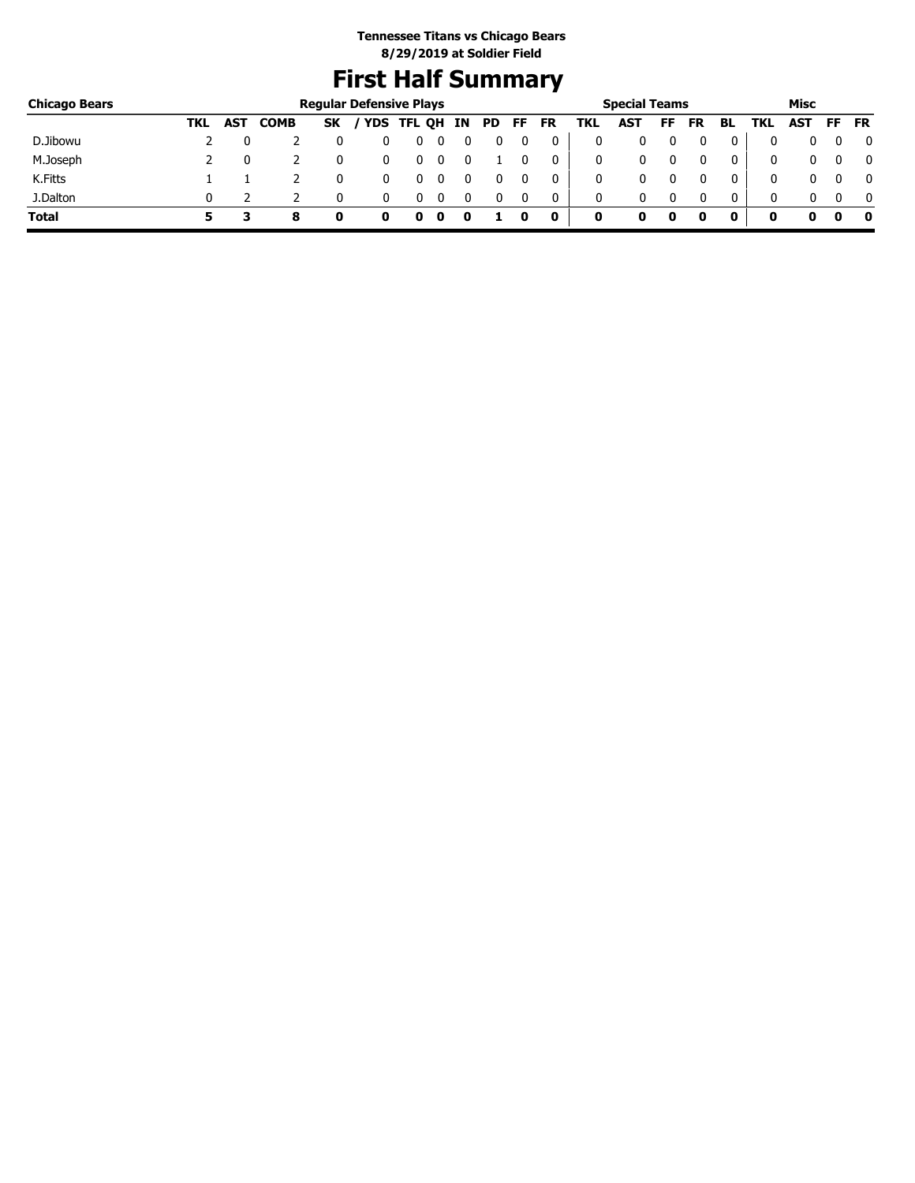# **First Half Summary**

| <b>Chicago Bears</b> |     |     |             | <b>Regular Defensive Plays</b> |               |   |     |          |           |     | <b>Special Teams</b> |    |    |     |     | Misc       |     |              |
|----------------------|-----|-----|-------------|--------------------------------|---------------|---|-----|----------|-----------|-----|----------------------|----|----|-----|-----|------------|-----|--------------|
|                      | TKL | AST | <b>COMB</b> | <b>SK</b>                      | YDS TFL QH IN |   | PD. | FF.      | <b>FR</b> | TKL | AST                  | FF | FR | BL. | TKL | <b>AST</b> | FF. | <b>FR</b>    |
| D.Jibowu             |     |     |             |                                |               | 0 |     |          | 0         | 0   |                      |    |    | 0   |     |            |     | 0            |
| M.Joseph             |     |     |             |                                | 0             |   |     |          | 0         | 0   |                      |    |    | 0   | 0   | 0          |     | $\mathbf{0}$ |
| K.Fitts              |     |     |             |                                |               |   |     |          | 0         | 0   |                      |    |    | 0   | 0   | 0          |     | $\mathbf{0}$ |
| J.Dalton             |     |     |             |                                |               |   |     | $\Omega$ | 0         | 0   |                      |    |    | 0   | 0   | n.         |     | $\mathbf{0}$ |
| <b>Total</b>         |     |     | 8           |                                |               |   |     |          |           | 0   | 0                    | 0  |    |     |     |            |     | - 0          |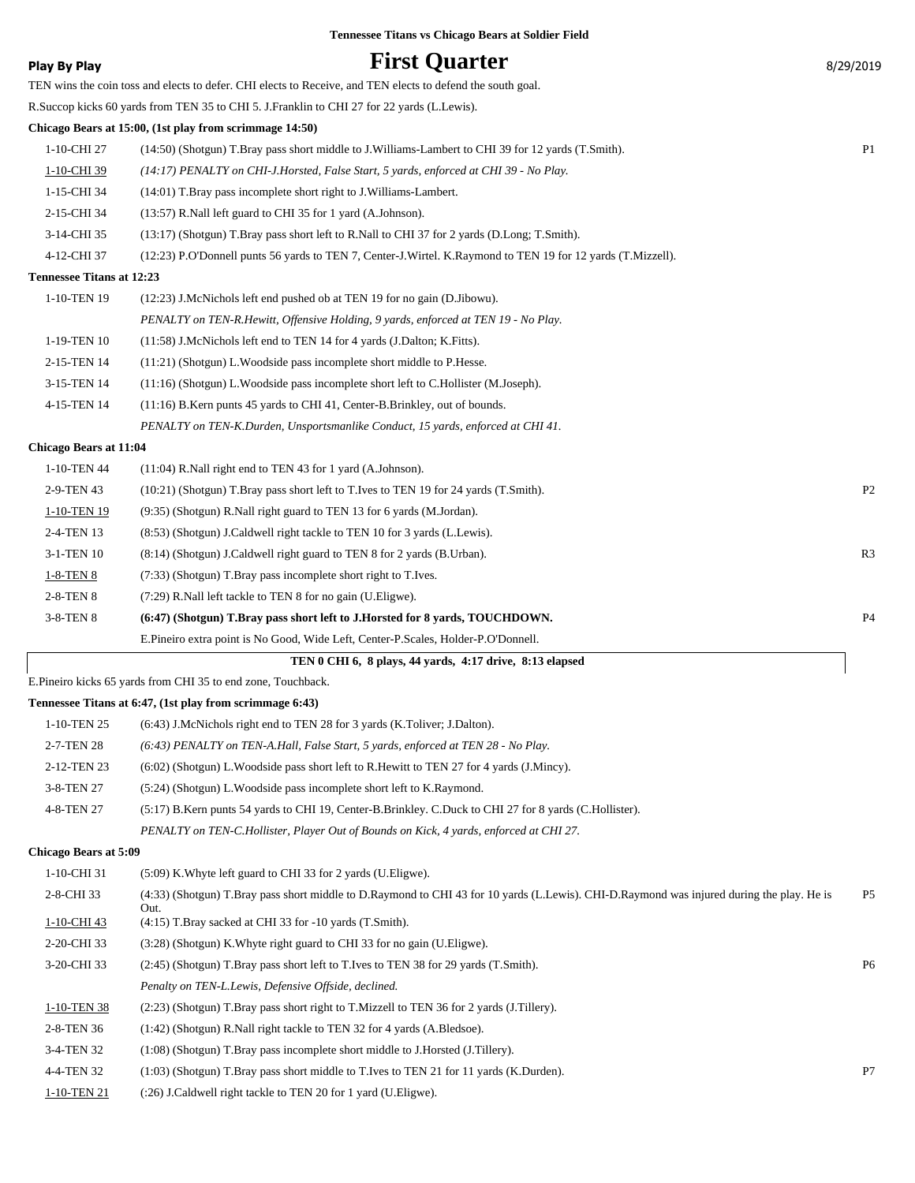| <b>Tennessee Titans vs Chicago Bears at Soldier Field</b> |  |  |  |  |  |  |
|-----------------------------------------------------------|--|--|--|--|--|--|
|-----------------------------------------------------------|--|--|--|--|--|--|

| Play By Play | <b>First Quarter</b> | 8/29/2019 |
|--------------|----------------------|-----------|
|              |                      |           |

|                                  | TEN wins the coin toss and elects to defer. CHI elects to Receive, and TEN elects to defend the south goal.                                       |                |
|----------------------------------|---------------------------------------------------------------------------------------------------------------------------------------------------|----------------|
|                                  | R. Succop kicks 60 yards from TEN 35 to CHI 5. J. Franklin to CHI 27 for 22 yards (L. Lewis).                                                     |                |
|                                  | Chicago Bears at 15:00, (1st play from scrimmage 14:50)                                                                                           |                |
| 1-10-CHI 27                      | (14:50) (Shotgun) T.Bray pass short middle to J.Williams-Lambert to CHI 39 for 12 yards (T.Smith).                                                | P <sub>1</sub> |
| 1-10-CHI 39                      | (14:17) PENALTY on CHI-J.Horsted, False Start, 5 yards, enforced at CHI 39 - No Play.                                                             |                |
| 1-15-CHI 34                      | $(14:01)$ T.Bray pass incomplete short right to J.Williams-Lambert.                                                                               |                |
| 2-15-CHI 34                      | (13:57) R.Nall left guard to CHI 35 for 1 yard (A.Johnson).                                                                                       |                |
| 3-14-CHI 35                      | (13:17) (Shotgun) T.Bray pass short left to R.Nall to CHI 37 for 2 yards (D.Long; T.Smith).                                                       |                |
| 4-12-CHI 37                      | (12:23) P.O'Donnell punts 56 yards to TEN 7, Center-J.Wirtel. K.Raymond to TEN 19 for 12 yards (T.Mizzell).                                       |                |
| <b>Tennessee Titans at 12:23</b> |                                                                                                                                                   |                |
| 1-10-TEN 19                      | (12:23) J.McNichols left end pushed ob at TEN 19 for no gain (D.Jibowu).                                                                          |                |
|                                  | PENALTY on TEN-R.Hewitt, Offensive Holding, 9 yards, enforced at TEN 19 - No Play.                                                                |                |
| 1-19-TEN 10                      | (11:58) J.McNichols left end to TEN 14 for 4 yards (J.Dalton; K.Fitts).                                                                           |                |
| 2-15-TEN 14                      | $(11:21)$ (Shotgun) L. Woodside pass incomplete short middle to P. Hesse.                                                                         |                |
| 3-15-TEN 14                      | (11:16) (Shotgun) L. Woodside pass incomplete short left to C. Hollister (M. Joseph).                                                             |                |
| 4-15-TEN 14                      | (11:16) B.Kern punts 45 yards to CHI 41, Center-B.Brinkley, out of bounds.                                                                        |                |
|                                  | PENALTY on TEN-K.Durden, Unsportsmanlike Conduct, 15 yards, enforced at CHI 41.                                                                   |                |
| <b>Chicago Bears at 11:04</b>    |                                                                                                                                                   |                |
| 1-10-TEN 44                      | $(11:04)$ R.Nall right end to TEN 43 for 1 yard (A.Johnson).                                                                                      |                |
| 2-9-TEN 43                       | (10:21) (Shotgun) T.Bray pass short left to T.Ives to TEN 19 for 24 yards (T.Smith).                                                              | P <sub>2</sub> |
| 1-10-TEN 19                      | (9:35) (Shotgun) R.Nall right guard to TEN 13 for 6 yards (M.Jordan).                                                                             |                |
| 2-4-TEN 13                       | (8:53) (Shotgun) J.Caldwell right tackle to TEN 10 for 3 yards (L.Lewis).                                                                         |                |
| 3-1-TEN 10                       | (8:14) (Shotgun) J.Caldwell right guard to TEN 8 for 2 yards (B.Urban).                                                                           | R3             |
| 1-8-TEN 8                        | (7:33) (Shotgun) T.Bray pass incomplete short right to T.Ives.                                                                                    |                |
| 2-8-TEN 8                        | (7:29) R.Nall left tackle to TEN 8 for no gain (U.Eligwe).                                                                                        |                |
| 3-8-TEN 8                        | (6:47) (Shotgun) T.Bray pass short left to J.Horsted for 8 yards, TOUCHDOWN.                                                                      | P <sub>4</sub> |
|                                  | E.Pineiro extra point is No Good, Wide Left, Center-P.Scales, Holder-P.O'Donnell.                                                                 |                |
|                                  | TEN 0 CHI 6, 8 plays, 44 yards, 4:17 drive, 8:13 elapsed                                                                                          |                |
|                                  | E.Pineiro kicks 65 yards from CHI 35 to end zone, Touchback.                                                                                      |                |
|                                  | Tennessee Titans at 6:47, (1st play from scrimmage 6:43)                                                                                          |                |
| 1-10-TEN 25                      | (6:43) J.McNichols right end to TEN 28 for 3 yards (K.Toliver; J.Dalton).                                                                         |                |
| 2-7-TEN 28                       | (6:43) PENALTY on TEN-A.Hall, False Start, 5 yards, enforced at TEN 28 - No Play.                                                                 |                |
| 2-12-TEN 23                      | (6:02) (Shotgun) L. Woodside pass short left to R. Hewitt to TEN 27 for 4 yards (J. Mincy).                                                       |                |
| 3-8-TEN 27                       | (5:24) (Shotgun) L. Woodside pass incomplete short left to K. Raymond.                                                                            |                |
| 4-8-TEN 27                       | (5:17) B.Kern punts 54 yards to CHI 19, Center-B.Brinkley. C.Duck to CHI 27 for 8 yards (C.Hollister).                                            |                |
|                                  | PENALTY on TEN-C.Hollister, Player Out of Bounds on Kick, 4 yards, enforced at CHI 27.                                                            |                |
| <b>Chicago Bears at 5:09</b>     |                                                                                                                                                   |                |
| 1-10-CHI 31                      | (5:09) K. Whyte left guard to CHI 33 for 2 yards (U. Eligwe).                                                                                     |                |
| 2-8-CHI 33                       | (4:33) (Shotgun) T.Bray pass short middle to D.Raymond to CHI 43 for 10 yards (L.Lewis). CHI-D.Raymond was injured during the play. He is<br>Out. | P <sub>5</sub> |
| 1-10-CHI 43                      | (4:15) T.Bray sacked at CHI 33 for -10 yards (T.Smith).                                                                                           |                |
| 2-20-CHI 33                      | (3:28) (Shotgun) K. Whyte right guard to CHI 33 for no gain (U. Eligwe).                                                                          |                |
| 3-20-CHI 33                      | (2:45) (Shotgun) T.Bray pass short left to T.Ives to TEN 38 for 29 yards (T.Smith).                                                               | P <sub>6</sub> |
|                                  | Penalty on TEN-L.Lewis, Defensive Offside, declined.                                                                                              |                |
| 1-10-TEN 38                      | (2:23) (Shotgun) T.Bray pass short right to T.Mizzell to TEN 36 for 2 yards (J.Tillery).                                                          |                |
| 2-8-TEN 36                       | (1:42) (Shotgun) R.Nall right tackle to TEN 32 for 4 yards (A.Bledsoe).                                                                           |                |
| 3-4-TEN 32                       | (1:08) (Shotgun) T.Bray pass incomplete short middle to J.Horsted (J.Tillery).                                                                    |                |
| 4-4-TEN 32                       | (1:03) (Shotgun) T.Bray pass short middle to T.Ives to TEN 21 for 11 yards (K.Durden).                                                            | P7             |

1-10-TEN 21 (:26) J.Caldwell right tackle to TEN 20 for 1 yard (U.Eligwe).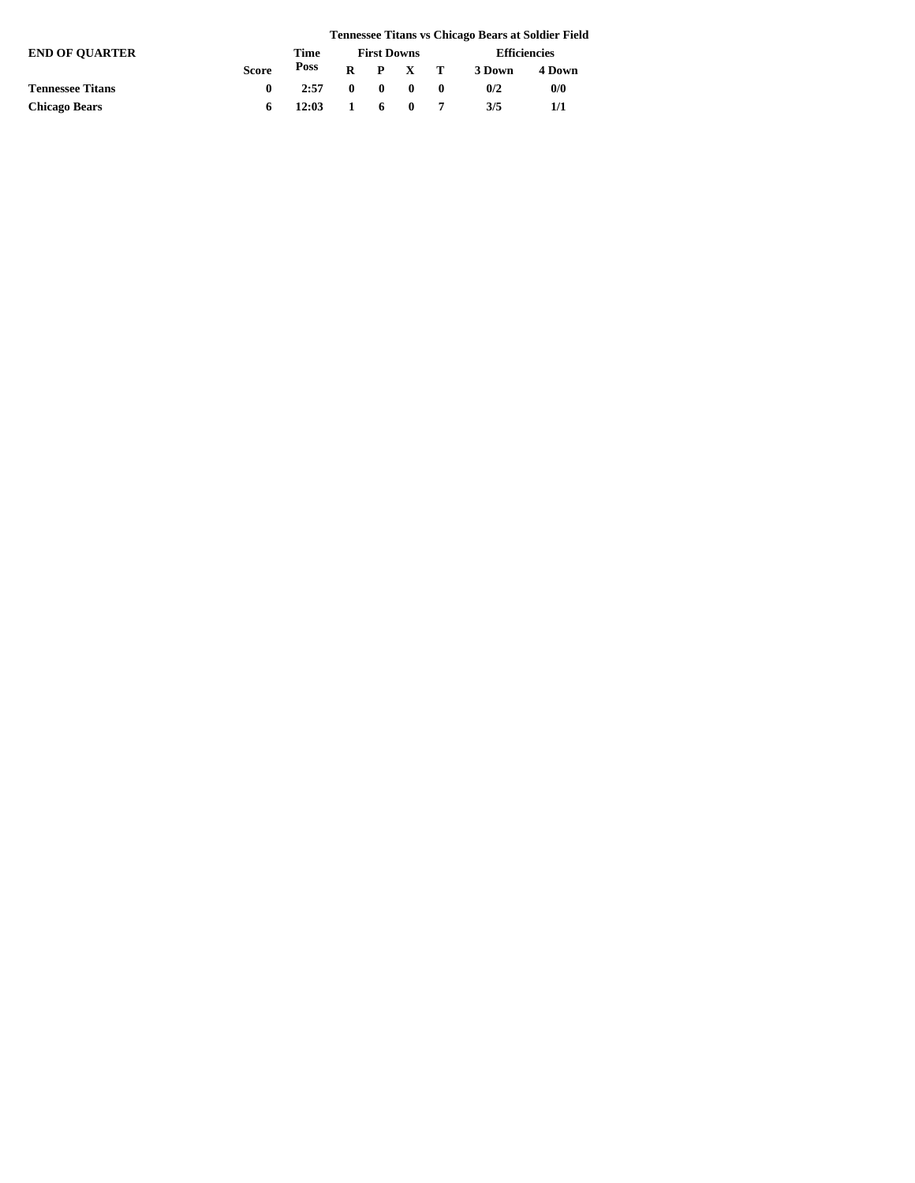|                         |              |       |  |                                            |        | <b>Tennessee Titans vs Chicago Bears at Soldier Field</b> |
|-------------------------|--------------|-------|--|--------------------------------------------|--------|-----------------------------------------------------------|
| <b>END OF OUARTER</b>   |              | Time  |  | <b>First Downs</b>                         |        | <b>Efficiencies</b>                                       |
|                         | <b>Score</b> | Poss  |  | $R$ $P$ $X$ $T$                            | 3 Down | 4 Down                                                    |
| <b>Tennessee Titans</b> |              | 2:57  |  | $\begin{array}{ccc} 0 & 0 & 0 \end{array}$ | 0/2    | 0/0                                                       |
| <b>Chicago Bears</b>    | 6.           | 12:03 |  | 1 6 0 7                                    | 3/5    | 1/1                                                       |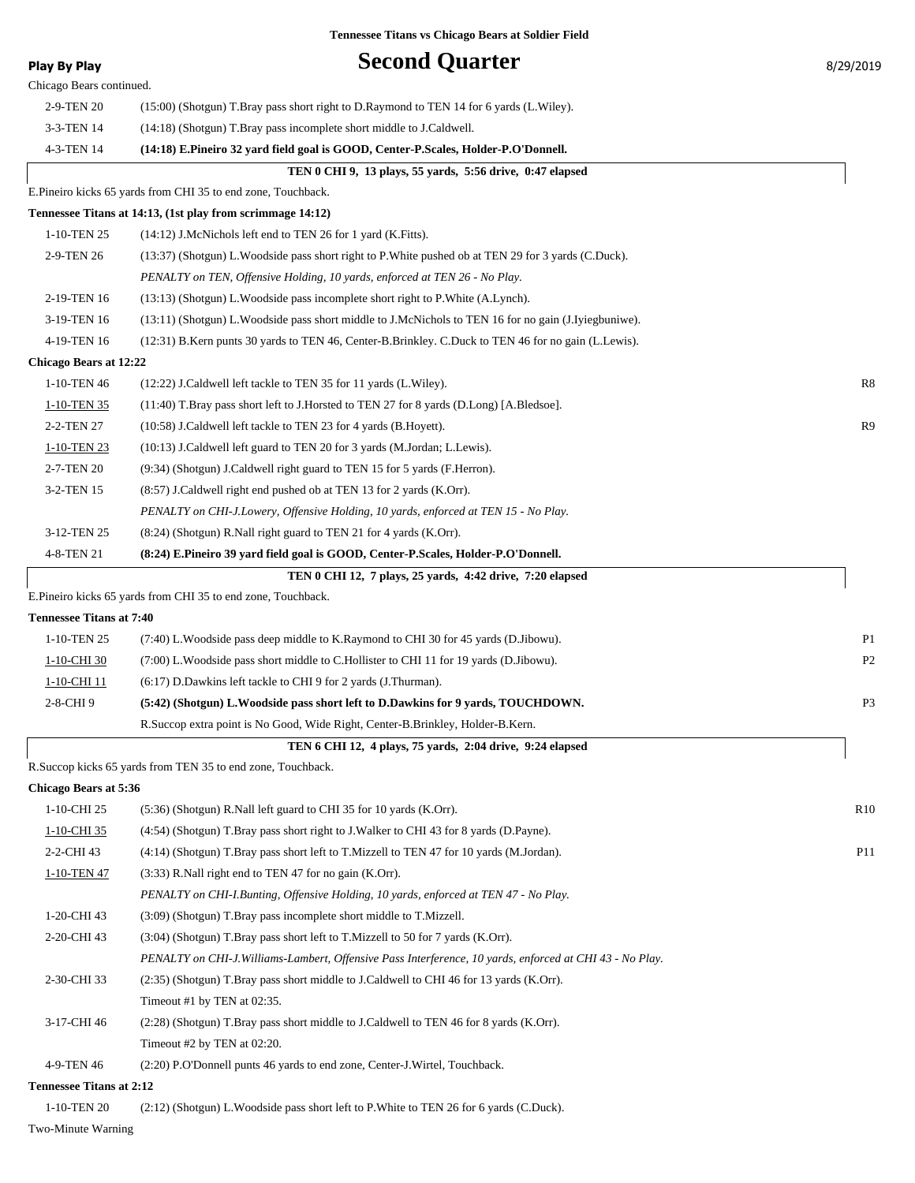| <b>Play By Play</b><br>Chicago Bears continued. | <b>Second Quarter</b>                                                                                        | 8/29/2019       |
|-------------------------------------------------|--------------------------------------------------------------------------------------------------------------|-----------------|
| 2-9-TEN 20                                      | (15:00) (Shotgun) T.Bray pass short right to D.Raymond to TEN 14 for 6 yards (L.Wiley).                      |                 |
| 3-3-TEN 14                                      | (14:18) (Shotgun) T.Bray pass incomplete short middle to J.Caldwell.                                         |                 |
| 4-3-TEN 14                                      | (14:18) E.Pineiro 32 yard field goal is GOOD, Center-P.Scales, Holder-P.O'Donnell.                           |                 |
|                                                 | TEN 0 CHI 9, 13 plays, 55 yards, 5:56 drive, 0:47 elapsed                                                    |                 |
|                                                 | E.Pineiro kicks 65 yards from CHI 35 to end zone, Touchback.                                                 |                 |
|                                                 | Tennessee Titans at 14:13, (1st play from scrimmage 14:12)                                                   |                 |
| 1-10-TEN 25                                     | $(14:12)$ J.McNichols left end to TEN 26 for 1 yard (K.Fitts).                                               |                 |
| 2-9-TEN 26                                      |                                                                                                              |                 |
|                                                 | (13:37) (Shotgun) L. Woodside pass short right to P. White pushed ob at TEN 29 for 3 yards (C. Duck).        |                 |
|                                                 | PENALTY on TEN, Offensive Holding, 10 yards, enforced at TEN 26 - No Play.                                   |                 |
| 2-19-TEN 16                                     | (13:13) (Shotgun) L. Woodside pass incomplete short right to P. White (A. Lynch).                            |                 |
| 3-19-TEN 16                                     | (13:11) (Shotgun) L. Woodside pass short middle to J. McNichols to TEN 16 for no gain (J. Iyiegbuniwe).      |                 |
| 4-19-TEN 16                                     | (12:31) B.Kern punts 30 yards to TEN 46, Center-B.Brinkley. C.Duck to TEN 46 for no gain (L.Lewis).          |                 |
| <b>Chicago Bears at 12:22</b>                   |                                                                                                              |                 |
| 1-10-TEN 46                                     | (12:22) J.Caldwell left tackle to TEN 35 for 11 yards (L.Wiley).                                             | R8              |
| 1-10-TEN 35                                     | (11:40) T.Bray pass short left to J.Horsted to TEN 27 for 8 yards (D.Long) [A.Bledsoe].                      |                 |
| 2-2-TEN 27                                      | (10:58) J.Caldwell left tackle to TEN 23 for 4 yards (B.Hoyett).                                             | R9              |
| 1-10-TEN 23                                     | (10:13) J.Caldwell left guard to TEN 20 for 3 yards (M.Jordan; L.Lewis).                                     |                 |
| 2-7-TEN 20                                      | (9:34) (Shotgun) J.Caldwell right guard to TEN 15 for 5 yards (F.Herron).                                    |                 |
| 3-2-TEN 15                                      | $(8:57)$ J.Caldwell right end pushed ob at TEN 13 for 2 yards $(K.C)$ rr).                                   |                 |
|                                                 | PENALTY on CHI-J.Lowery, Offensive Holding, 10 yards, enforced at TEN 15 - No Play.                          |                 |
| 3-12-TEN 25                                     | $(8:24)$ (Shotgun) R. Nall right guard to TEN 21 for 4 yards (K.Orr).                                        |                 |
| 4-8-TEN 21                                      | (8:24) E.Pineiro 39 yard field goal is GOOD, Center-P.Scales, Holder-P.O'Donnell.                            |                 |
|                                                 | TEN 0 CHI 12, 7 plays, 25 yards, 4:42 drive, 7:20 elapsed                                                    |                 |
|                                                 | E.Pineiro kicks 65 yards from CHI 35 to end zone, Touchback.                                                 |                 |
| <b>Tennessee Titans at 7:40</b>                 |                                                                                                              |                 |
| 1-10-TEN 25                                     | (7:40) L. Woodside pass deep middle to K. Raymond to CHI 30 for 45 yards (D. Jibowu).                        | P <sub>1</sub>  |
| 1-10-CHI 30                                     | (7:00) L. Woodside pass short middle to C. Hollister to CHI 11 for 19 yards (D. Jibowu).                     | P <sub>2</sub>  |
| 1-10-CHI 11                                     | (6:17) D.Dawkins left tackle to CHI 9 for 2 yards (J.Thurman).                                               |                 |
| 2-8-CHI9                                        | (5:42) (Shotgun) L. Woodside pass short left to D. Dawkins for 9 yards, TOUCHDOWN.                           | P <sub>3</sub>  |
|                                                 | R.Succop extra point is No Good, Wide Right, Center-B.Brinkley, Holder-B.Kern.                               |                 |
|                                                 | TEN 6 CHI 12, 4 plays, 75 yards, 2:04 drive, 9:24 elapsed                                                    |                 |
|                                                 | R.Succop kicks 65 yards from TEN 35 to end zone, Touchback.                                                  |                 |
| <b>Chicago Bears at 5:36</b>                    |                                                                                                              |                 |
| 1-10-CHI 25                                     | $(5:36)$ (Shotgun) R. Nall left guard to CHI 35 for 10 yards (K.Orr).                                        | R10             |
| 1-10-CHI 35                                     | (4.54) (Shotgun) T.Bray pass short right to J.Walker to CHI 43 for 8 yards (D.Payne).                        |                 |
| 2-2-CHI 43                                      | (4:14) (Shotgun) T.Bray pass short left to T.Mizzell to TEN 47 for 10 yards (M.Jordan).                      | P <sub>11</sub> |
| 1-10-TEN 47                                     | $(3:33)$ R.Nall right end to TEN 47 for no gain $(K.C)$ .                                                    |                 |
|                                                 | PENALTY on CHI-I.Bunting, Offensive Holding, 10 yards, enforced at TEN 47 - No Play.                         |                 |
| 1-20-CHI 43                                     | (3:09) (Shotgun) T.Bray pass incomplete short middle to T.Mizzell.                                           |                 |
| 2-20-CHI 43                                     | $(3:04)$ (Shotgun) T.Bray pass short left to T.Mizzell to 50 for 7 yards (K.Orr).                            |                 |
|                                                 | PENALTY on CHI-J.Williams-Lambert, Offensive Pass Interference, 10 yards, enforced at CHI 43 - No Play.      |                 |
| 2-30-CHI 33                                     | (2.35) (Shotgun) T.Bray pass short middle to J.Caldwell to CHI 46 for 13 yards (K.Orr).                      |                 |
|                                                 | Timeout #1 by TEN at 02:35.                                                                                  |                 |
| 3-17-CHI 46                                     | (2.28) (Shotgun) T.Bray pass short middle to J.Caldwell to TEN 46 for 8 yards (K.Orr).                       |                 |
|                                                 |                                                                                                              |                 |
| 4-9-TEN 46                                      | Timeout #2 by TEN at $02:20$ .<br>(2:20) P.O'Donnell punts 46 yards to end zone, Center-J.Wirtel, Touchback. |                 |
| <b>Tennessee Titans at 2:12</b>                 |                                                                                                              |                 |
|                                                 |                                                                                                              |                 |

1-10-TEN 20 (2:12) (Shotgun) L.Woodside pass short left to P.White to TEN 26 for 6 yards (C.Duck).

Two-Minute Warning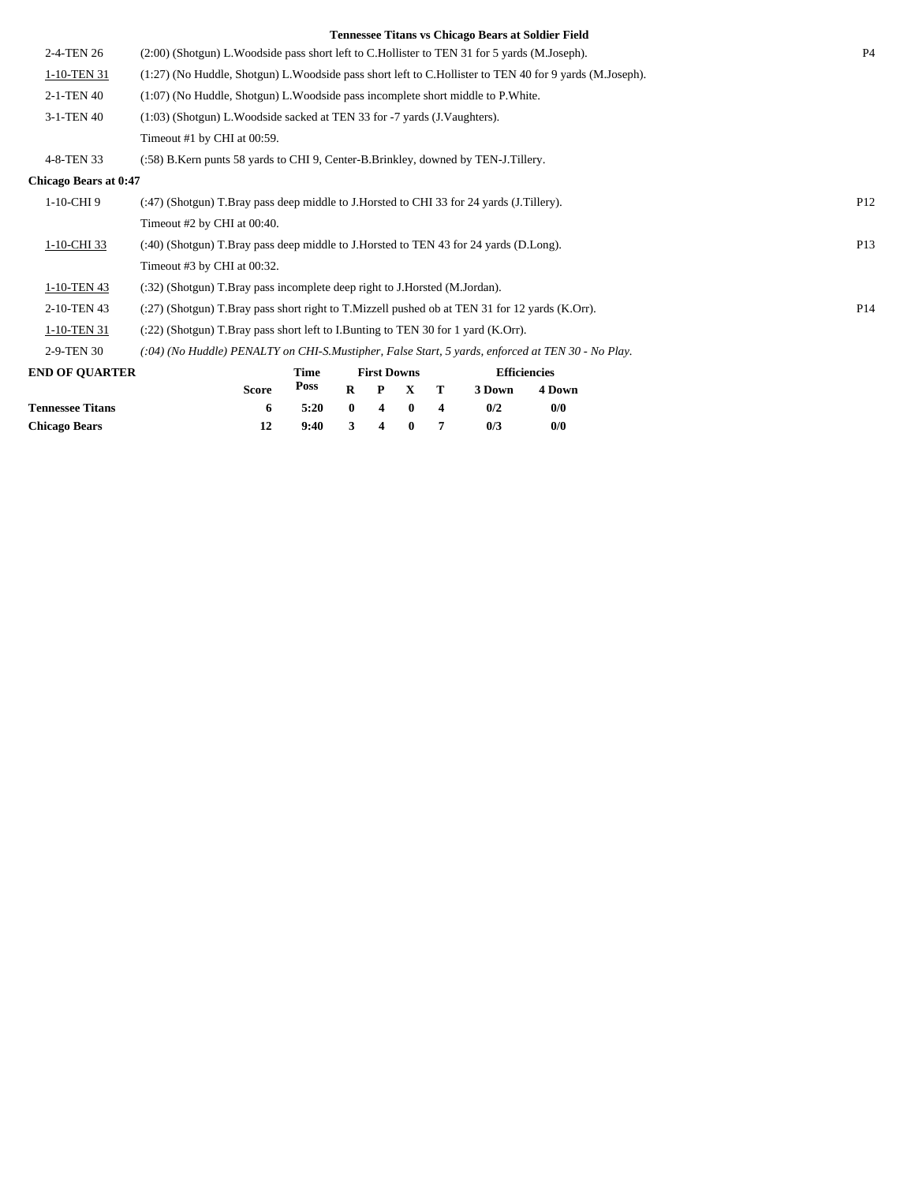|                              | <b>Tennessee Titans vs Chicago Bears at Soldier Field</b>                                                  |                 |
|------------------------------|------------------------------------------------------------------------------------------------------------|-----------------|
| 2-4-TEN 26                   | (2:00) (Shotgun) L. Woodside pass short left to C. Hollister to TEN 31 for 5 yards (M. Joseph).            | P <sub>4</sub>  |
| 1-10-TEN 31                  | (1:27) (No Huddle, Shotgun) L. Woodside pass short left to C. Hollister to TEN 40 for 9 yards (M. Joseph). |                 |
| 2-1-TEN 40                   | $(1:07)$ (No Huddle, Shotgun) L. Woodside pass incomplete short middle to P. White.                        |                 |
| 3-1-TEN 40                   | (1:03) (Shotgun) L. Woodside sacked at TEN 33 for -7 yards (J. Vaughters).                                 |                 |
|                              | Timeout #1 by CHI at 00:59.                                                                                |                 |
| 4-8-TEN 33                   | (:58) B.Kern punts 58 yards to CHI 9, Center-B.Brinkley, downed by TEN-J.Tillery.                          |                 |
| <b>Chicago Bears at 0:47</b> |                                                                                                            |                 |
| 1-10-CHI9                    | (:47) (Shotgun) T.Bray pass deep middle to J.Horsted to CHI 33 for 24 yards (J.Tillery).                   | P <sub>12</sub> |
|                              | Timeout $#2$ by CHI at 00:40.                                                                              |                 |
| 1-10-CHI 33                  | (:40) (Shotgun) T.Bray pass deep middle to J.Horsted to TEN 43 for 24 yards (D.Long).                      | P <sub>13</sub> |
|                              | Timeout #3 by CHI at 00:32.                                                                                |                 |
| 1-10-TEN 43                  | (:32) (Shotgun) T.Bray pass incomplete deep right to J.Horsted (M.Jordan).                                 |                 |
| 2-10-TEN 43                  | (:27) (Shotgun) T.Bray pass short right to T.Mizzell pushed ob at TEN 31 for 12 yards (K.Orr).             | P <sub>14</sub> |
| 1-10-TEN 31                  | $(22)$ (Shotgun) T.Bray pass short left to I.Bunting to TEN 30 for 1 yard (K.Orr).                         |                 |
| 2-9-TEN 30                   | (:04) (No Huddle) PENALTY on CHI-S.Mustipher, False Start, 5 yards, enforced at TEN 30 - No Play.          |                 |
| <b>END OF QUARTER</b>        | <b>Efficiencies</b><br>Time<br><b>First Downs</b>                                                          |                 |
|                              | <b>Poss</b><br>R<br>3 Down<br>4 Down<br><b>Score</b><br>P<br>$\mathbf X$<br>т                              |                 |

**Tennessee Titans 6 5:20 0 4 0 4 0/2 0/0 Chicago Bears 12 9:40 3 4 0 7 0/3 0/0**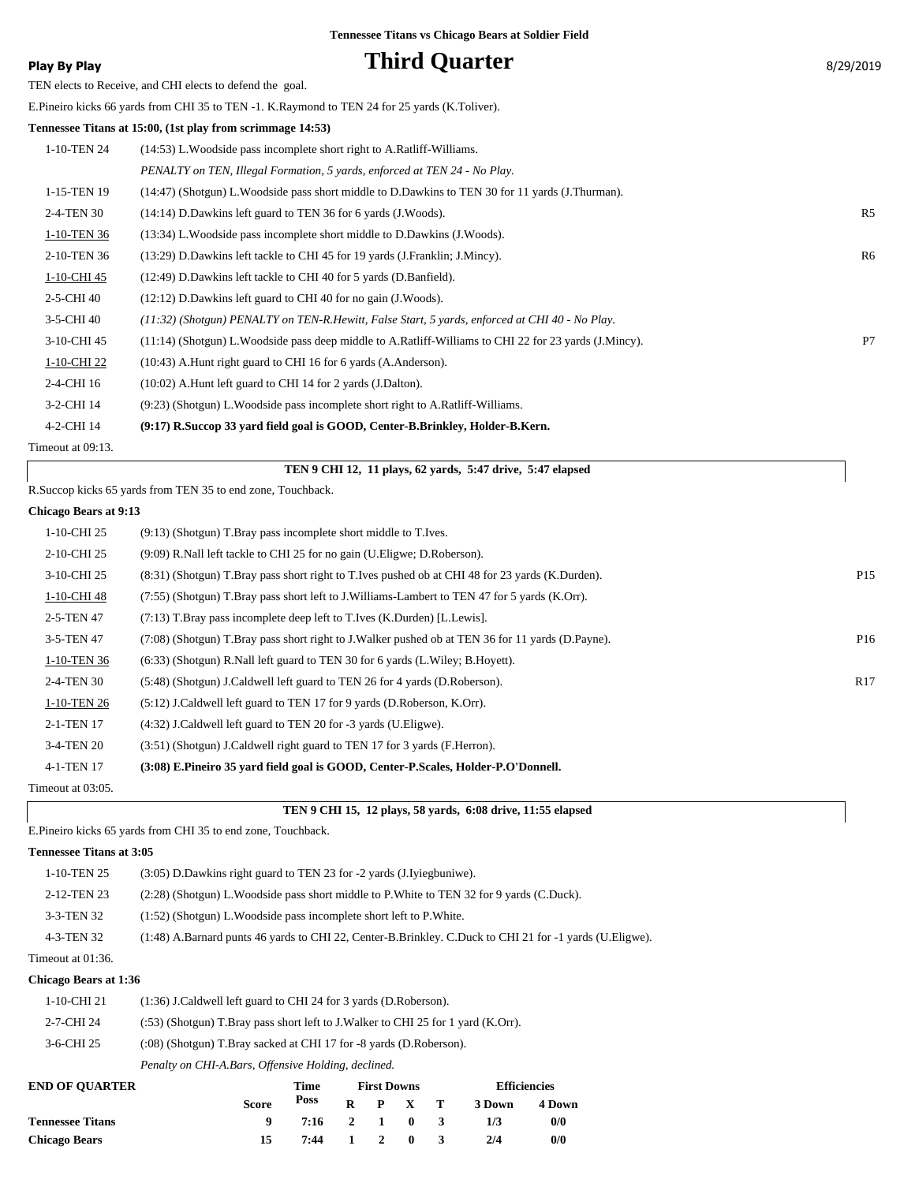### **Play By Play Play Play Play Play By Play Play By Play By 2019 Play By 2019 By 2019 Play By 2019 By 2019 By 2019 By 2019 By 2019 By 2019 By 2019 By 2019 By 2019 By 2019 By 2019 By**

TEN elects to Receive, and CHI elects to defend the goal.

E.Pineiro kicks 66 yards from CHI 35 to TEN -1. K.Raymond to TEN 24 for 25 yards (K.Toliver).

#### **Tennessee Titans at 15:00, (1st play from scrimmage 14:53)**

| 1-10-TEN 24       | (14:53) L. Woodside pass incomplete short right to A. Ratliff-Williams.                                  |                |
|-------------------|----------------------------------------------------------------------------------------------------------|----------------|
|                   | PENALTY on TEN, Illegal Formation, 5 yards, enforced at TEN 24 - No Play.                                |                |
| 1-15-TEN 19       | (14:47) (Shotgun) L. Woodside pass short middle to D. Dawkins to TEN 30 for 11 yards (J. Thurman).       |                |
| 2-4-TEN 30        | $(14:14)$ D.Dawkins left guard to TEN 36 for 6 yards (J.Woods).                                          | R <sub>5</sub> |
| 1-10-TEN 36       | (13:34) L. Woodside pass incomplete short middle to D. Dawkins (J. Woods).                               |                |
| 2-10-TEN 36       | (13:29) D.Dawkins left tackle to CHI 45 for 19 yards (J.Franklin; J.Mincy).                              | R6             |
| 1-10-CHI 45       | (12:49) D.Dawkins left tackle to CHI 40 for 5 yards (D.Banfield).                                        |                |
| 2-5-CHI 40        | $(12:12)$ D.Dawkins left guard to CHI 40 for no gain (J.Woods).                                          |                |
| 3-5-CHI 40        | $(11.32)$ (Shotgun) PENALTY on TEN-R.Hewitt, False Start, 5 yards, enforced at CHI 40 - No Play.         |                |
| 3-10-CHI 45       | (11:14) (Shotgun) L. Woodside pass deep middle to A. Ratliff-Williams to CHI 22 for 23 yards (J. Mincy). | P7             |
| 1-10-CHI 22       | (10:43) A.Hunt right guard to CHI 16 for 6 yards (A.Anderson).                                           |                |
| 2-4-CHI 16        | $(10:02)$ A. Hunt left guard to CHI 14 for 2 yards $(J.Dalton)$ .                                        |                |
| 3-2-CHI 14        | (9:23) (Shotgun) L. Woodside pass incomplete short right to A. Ratliff-Williams.                         |                |
| 4-2-CHI 14        | (9:17) R.Succop 33 yard field goal is GOOD, Center-B.Brinkley, Holder-B.Kern.                            |                |
| Timeout at 09:13. |                                                                                                          |                |

|  | TEN 9 CHI 12, 11 plays, 62 yards, 5:47 drive, 5:47 elapsed |  |  |  |  |  |  |
|--|------------------------------------------------------------|--|--|--|--|--|--|
|--|------------------------------------------------------------|--|--|--|--|--|--|

R.Succop kicks 65 yards from TEN 35 to end zone, Touchback.

#### **Chicago Bears at 9:13**

| 1-10-CHI 25       | $(9:13)$ (Shotgun) T.Bray pass incomplete short middle to T.Ives.                                |                 |
|-------------------|--------------------------------------------------------------------------------------------------|-----------------|
| 2-10-CHI 25       | (9:09) R.Nall left tackle to CHI 25 for no gain (U.Eligwe; D.Roberson).                          |                 |
| 3-10-CHI 25       | (8.31) (Shotgun) T.Bray pass short right to T.Ives pushed ob at CHI 48 for 23 yards (K.Durden).  | P <sub>15</sub> |
| 1-10-CHI 48       | (7:55) (Shotgun) T.Bray pass short left to J.Williams-Lambert to TEN 47 for 5 yards (K.Orr).     |                 |
| 2-5-TEN 47        | (7:13) T.Bray pass incomplete deep left to T.Ives (K.Durden) [L.Lewis].                          |                 |
| 3-5-TEN 47        | (7:08) (Shotgun) T.Bray pass short right to J.Walker pushed ob at TEN 36 for 11 yards (D.Payne). | P <sub>16</sub> |
| 1-10-TEN 36       | (6:33) (Shotgun) R.Nall left guard to TEN 30 for 6 yards (L.Wiley; B.Hoyett).                    |                 |
| 2-4-TEN 30        | (5:48) (Shotgun) J.Caldwell left guard to TEN 26 for 4 yards (D.Roberson).                       | R <sub>17</sub> |
| 1-10-TEN 26       | $(5:12)$ J.Caldwell left guard to TEN 17 for 9 yards (D.Roberson, K.Orr).                        |                 |
| 2-1-TEN 17        | (4:32) J.Caldwell left guard to TEN 20 for -3 yards (U.Eligwe).                                  |                 |
| 3-4-TEN 20        | (3:51) (Shotgun) J.Caldwell right guard to TEN 17 for 3 yards (F.Herron).                        |                 |
| 4-1-TEN 17        | (3:08) E.Pineiro 35 vard field goal is GOOD, Center-P.Scales, Holder-P.O'Donnell.                |                 |
| Timeout at 03:05. |                                                                                                  |                 |
|                   |                                                                                                  |                 |

E.Pineiro kicks 65 yards from CHI 35 to end zone, Touchback.

#### **Tennessee Titans at 3:05**

| 1-10-TEN 25       | (3:05) D. Dawkins right guard to TEN 23 for -2 yards (J. Iviegbuniwe).                                  |
|-------------------|---------------------------------------------------------------------------------------------------------|
| 2-12-TEN 23       | (2.28) (Shotgun) L. Woodside pass short middle to P. White to TEN 32 for 9 yards (C. Duck).             |
| 3-3-TEN 32        | $(1:52)$ (Shotgun) L. Woodside pass incomplete short left to P. White.                                  |
| 4-3-TEN 32        | (1:48) A.Barnard punts 46 yards to CHI 22, Center-B.Brinkley. C.Duck to CHI 21 for -1 yards (U.Eligwe). |
| Timeout at 01:36. |                                                                                                         |

#### **Chicago Bears at 1:36**

| 1-10-CHI 21 | (1:36) J.Caldwell left guard to CHI 24 for 3 yards (D.Roberson).                  |
|-------------|-----------------------------------------------------------------------------------|
| 2-7-CHI 24  | $(53)$ (Shotgun) T.Bray pass short left to J.Walker to CHI 25 for 1 yard (K.Orr). |
| 3-6-CHI 25  | (:08) (Shotgun) T.Bray sacked at CHI 17 for -8 yards (D.Roberson).                |
|             | Penalty on CHI-A.Bars, Offensive Holding, declined.                               |

| <b>END OF OUARTER</b>   |              | Time         |         | <b>First Downs</b> |                 |        | <b>Efficiencies</b> |
|-------------------------|--------------|--------------|---------|--------------------|-----------------|--------|---------------------|
|                         | <b>Score</b> | Poss         |         |                    | $R$ $P$ $X$ $T$ | 3 Down | 4 Down              |
| <b>Tennessee Titans</b> |              | 7:16 2 1 0 3 |         |                    |                 | 173    | 0/0                 |
| <b>Chicago Bears</b>    | 15           | 7:44         | 1 2 0 3 |                    |                 | 2/4    | 0/0                 |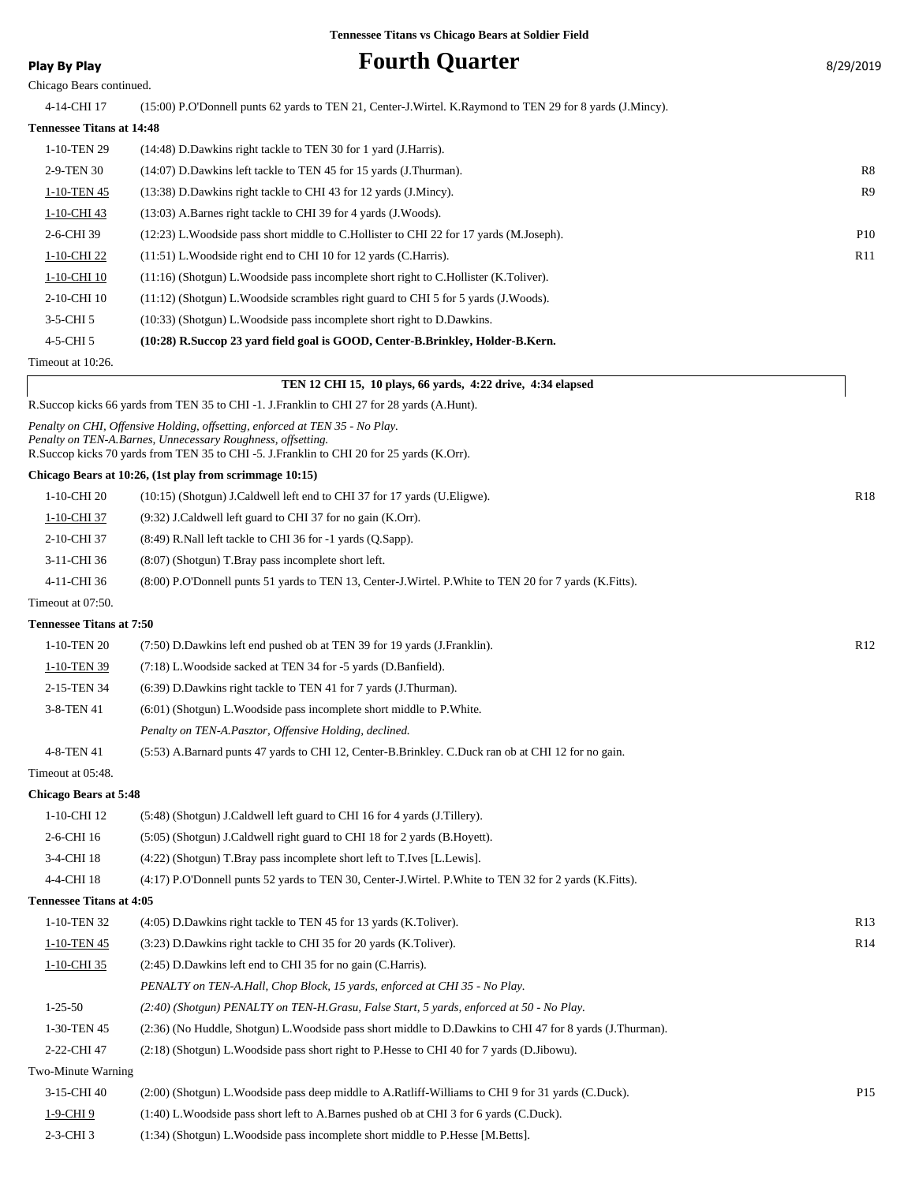### **Play By Play Provided as a set of Current Cuarter Play By Play By 2019** 8/29/2019

| Play by Play |  |  |
|--------------|--|--|
|              |  |  |

Chicago Bears continued.

4-14-CHI 17 (15:00) P.O'Donnell punts 62 yards to TEN 21, Center-J.Wirtel. K.Raymond to TEN 29 for 8 yards (J.Mincy).

#### **Tennessee Titans at 14:48**

| 1-10-TEN 29    | (14:48) D.Dawkins right tackle to TEN 30 for 1 yard (J.Harris).                           |                |
|----------------|-------------------------------------------------------------------------------------------|----------------|
| 2-9-TEN 30     | (14:07) D.Dawkins left tackle to TEN 45 for 15 yards (J.Thurman).                         | R8             |
| 1-10-TEN 45    | (13:38) D.Dawkins right tackle to CHI 43 for 12 yards (J.Mincy).                          | R <sub>9</sub> |
| 1-10-CHI 43    | $(13:03)$ A.Barnes right tackle to CHI 39 for 4 yards $(J.Woods)$ .                       |                |
| 2-6-CHI 39     | (12:23) L. Woodside pass short middle to C. Hollister to CHI 22 for 17 yards (M. Joseph). | <b>P10</b>     |
| 1-10-CHI 22    | $(11:51)$ L. Woodside right end to CHI 10 for 12 yards (C. Harris).                       | R11            |
| 1-10-CHI 10    | $(11:16)$ (Shotgun) L. Woodside pass incomplete short right to C. Hollister (K. Toliver). |                |
| 2-10-CHI 10    | $(11:12)$ (Shotgun) L. Woodside scrambles right guard to CHI 5 for 5 yards (J. Woods).    |                |
| $3-5$ -CHI $5$ | (10:33) (Shotgun) L. Woodside pass incomplete short right to D. Dawkins.                  |                |
| 4-5-CHI 5      | (10:28) R.Succop 23 yard field goal is GOOD, Center-B.Brinkley, Holder-B.Kern.            |                |
|                |                                                                                           |                |

Timeout at 10:26.

### **TEN 12 CHI 15, 10 plays, 66 yards, 4:22 drive, 4:34 elapsed** R.Succop kicks 66 yards from TEN 35 to CHI -1. J.Franklin to CHI 27 for 28 yards (A.Hunt).

*Penalty on CHI, Offensive Holding, offsetting, enforced at TEN 35 - No Play. Penalty on TEN-A.Barnes, Unnecessary Roughness, offsetting.* R.Succop kicks 70 yards from TEN 35 to CHI -5. J.Franklin to CHI 20 for 25 yards (K.Orr).

#### **Chicago Bears at 10:26, (1st play from scrimmage 10:15)**

| 1-10-CHI 20       | $(10:15)$ (Shotgun) J.Caldwell left end to CHI 37 for 17 yards (U.Eligwe).                             | R <sub>18</sub> |
|-------------------|--------------------------------------------------------------------------------------------------------|-----------------|
| 1-10-CHI 37       | $(9:32)$ J.Caldwell left guard to CHI 37 for no gain (K.Orr).                                          |                 |
| 2-10-CHI 37       | $(8:49)$ R.Nall left tackle to CHI 36 for -1 yards $(0.5app)$ .                                        |                 |
| 3-11-CHI 36       | $(8:07)$ (Shotgun) T.Bray pass incomplete short left.                                                  |                 |
| 4-11-CHI 36       | (8:00) P.O'Donnell punts 51 yards to TEN 13, Center-J.Wirtel. P.White to TEN 20 for 7 yards (K.Fitts). |                 |
| Timeout at 07:50. |                                                                                                        |                 |

### **Tennessee Titans at 7:50**

| 1-10-TEN 20 | (7:50) D.Dawkins left end pushed ob at TEN 39 for 19 yards (J.Franklin).                           | R12 |
|-------------|----------------------------------------------------------------------------------------------------|-----|
| 1-10-TEN 39 | (7:18) L. Woodside sacked at TEN 34 for -5 yards (D. Banfield).                                    |     |
| 2-15-TEN 34 | (6:39) D.Dawkins right tackle to TEN 41 for 7 yards (J.Thurman).                                   |     |
| 3-8-TEN 41  | $(6:01)$ (Shotgun) L. Woodside pass incomplete short middle to P. White.                           |     |
|             | Penalty on TEN-A.Pasztor, Offensive Holding, declined.                                             |     |
| 4-8-TEN 41  | (5:53) A.Barnard punts 47 yards to CHI 12, Center-B.Brinkley. C.Duck ran ob at CHI 12 for no gain. |     |

Timeout at 05:48.

#### **Chicago Bears at 5:48**

| $1-10$ -CHI 12                  | (5.48) (Shotgun) J.Caldwell left guard to CHI 16 for 4 yards (J.Tillery).                                |                 |
|---------------------------------|----------------------------------------------------------------------------------------------------------|-----------------|
| 2-6-CHI 16                      | (5:05) (Shotgun) J.Caldwell right guard to CHI 18 for 2 yards (B.Hoyett).                                |                 |
| 3-4-CHI 18                      | (4:22) (Shotgun) T.Bray pass incomplete short left to T.Ives [L.Lewis].                                  |                 |
| 4-4-CHI 18                      | $(4:17)$ P.O'Donnell punts 52 yards to TEN 30, Center-J.Wirtel. P.White to TEN 32 for 2 yards (K.Fitts). |                 |
| <b>Tennessee Titans at 4:05</b> |                                                                                                          |                 |
| 1-10-TEN 32                     | (4:05) D. Dawkins right tackle to TEN 45 for 13 yards (K. Toliver).                                      | R <sub>13</sub> |
| 1-10-TEN 45                     | (3.23) D. Dawkins right tackle to CHI 35 for 20 yards (K. Toliver).                                      | R14             |
| 1-10-CHI 35                     | (2:45) D. Dawkins left end to CHI 35 for no gain (C. Harris).                                            |                 |
|                                 |                                                                                                          |                 |

*PENALTY on TEN-A.Hall, Chop Block, 15 yards, enforced at CHI 35 - No Play.*

- 1-25-50 *(2:40) (Shotgun) PENALTY on TEN-H.Grasu, False Start, 5 yards, enforced at 50 No Play.*
- 1-30-TEN 45 (2:36) (No Huddle, Shotgun) L.Woodside pass short middle to D.Dawkins to CHI 47 for 8 yards (J.Thurman).
- 2-22-CHI 47 (2:18) (Shotgun) L.Woodside pass short right to P.Hesse to CHI 40 for 7 yards (D.Jibowu).

#### Two-Minute Warning

3-15-CHI 40 (2:00) (Shotgun) L.Woodside pass deep middle to A.Ratliff-Williams to CHI 9 for 31 yards (C.Duck). P15 1-9-CHI 9 (1:40) L.Woodside pass short left to A.Barnes pushed ob at CHI 3 for 6 yards (C.Duck). 2-3-CHI 3 (1:34) (Shotgun) L.Woodside pass incomplete short middle to P.Hesse [M.Betts].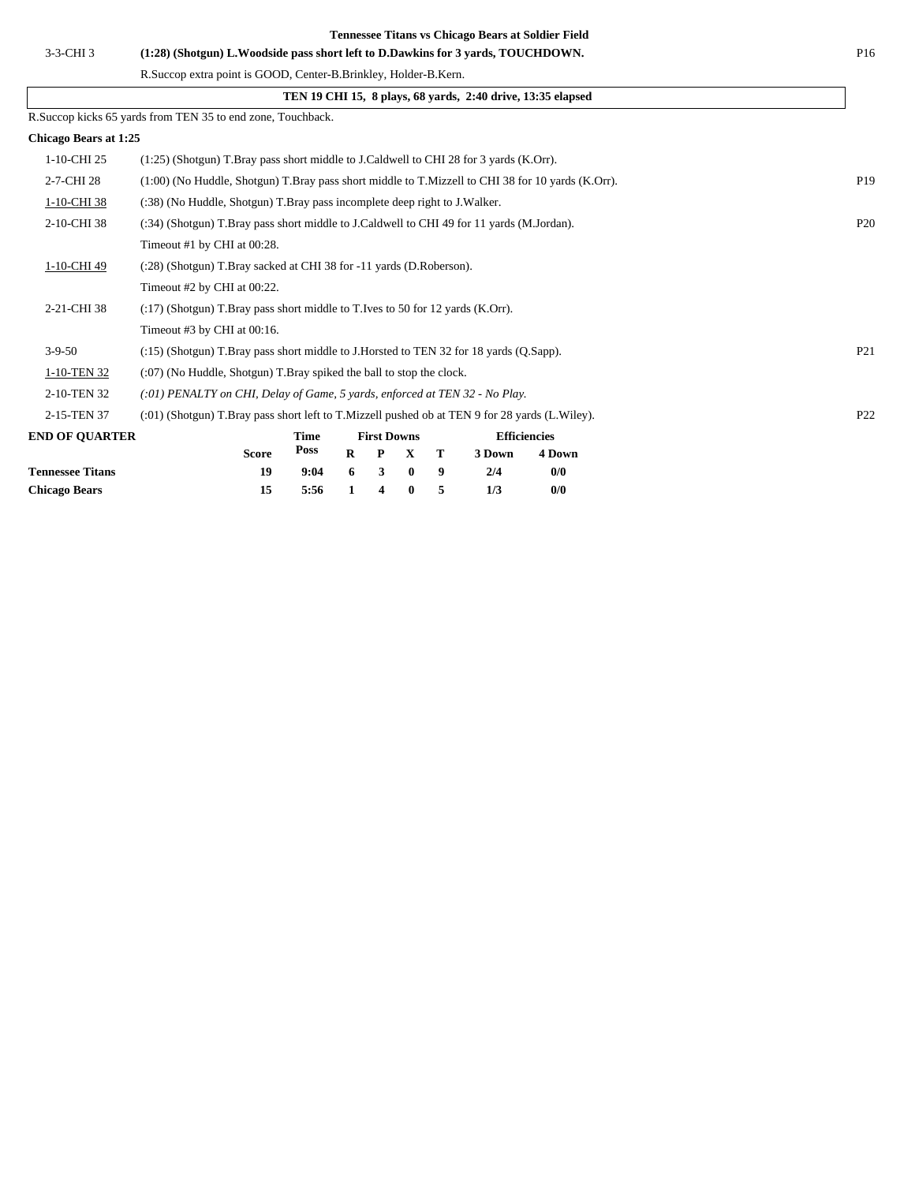| 3-3-CHI 3                    | (1:28) (Shotgun) L. Woodside pass short left to D. Dawkins for 3 yards, TOUCHDOWN.                | P <sub>16</sub> |
|------------------------------|---------------------------------------------------------------------------------------------------|-----------------|
|                              | R.Succop extra point is GOOD, Center-B.Brinkley, Holder-B.Kern.                                   |                 |
|                              | TEN 19 CHI 15, 8 plays, 68 yards, 2:40 drive, 13:35 elapsed                                       |                 |
|                              | R.Succop kicks 65 yards from TEN 35 to end zone, Touchback.                                       |                 |
| <b>Chicago Bears at 1:25</b> |                                                                                                   |                 |
| 1-10-CHI 25                  | $(1:25)$ (Shotgun) T.Bray pass short middle to J.Caldwell to CHI 28 for 3 yards (K.Orr).          |                 |
| 2-7-CHI 28                   | (1:00) (No Huddle, Shotgun) T.Bray pass short middle to T.Mizzell to CHI 38 for 10 yards (K.Orr). | P <sub>19</sub> |
| 1-10-CHI 38                  | (:38) (No Huddle, Shotgun) T.Bray pass incomplete deep right to J.Walker.                         |                 |
| 2-10-CHI 38                  | (:34) (Shotgun) T.Bray pass short middle to J.Caldwell to CHI 49 for 11 yards (M.Jordan).         | P <sub>20</sub> |
|                              | Timeout #1 by CHI at 00:28.                                                                       |                 |
| 1-10-CHI 49                  | (:28) (Shotgun) T.Bray sacked at CHI 38 for -11 yards (D.Roberson).                               |                 |
|                              | Timeout #2 by CHI at 00:22.                                                                       |                 |
| 2-21-CHI 38                  | $(17)$ (Shotgun) T.Bray pass short middle to T.Ives to 50 for 12 yards (K.Orr).                   |                 |
|                              | Timeout #3 by CHI at 00:16.                                                                       |                 |
| $3 - 9 - 50$                 | (:15) (Shotgun) T.Bray pass short middle to J.Horsted to TEN 32 for 18 yards (Q.Sapp).            | P <sub>21</sub> |
| 1-10-TEN 32                  | $(0.07)$ (No Huddle, Shotgun) T. Bray spiked the ball to stop the clock.                          |                 |
| 2-10-TEN 32                  | $(.01)$ PENALTY on CHI, Delay of Game, 5 yards, enforced at TEN 32 - No Play.                     |                 |
| 2-15-TEN 37                  | (:01) (Shotgun) T.Bray pass short left to T.Mizzell pushed ob at TEN 9 for 28 yards (L.Wiley).    | P <sub>22</sub> |
| <b>END OF QUARTER</b>        | <b>First Downs</b><br><b>Efficiencies</b><br>Time                                                 |                 |
|                              | <b>Poss</b><br>$\mathbf{R}$<br><b>Score</b><br>т<br>3 Down<br>4 Down<br>P<br>X                    |                 |
| <b>Tennessee Titans</b>      | 19<br>9<br>0/0<br>9:04<br>6<br>3<br>$\bf{0}$<br>2/4                                               |                 |

**Chicago Bears 15 5:56 1 4 0 5 1/3 0/0**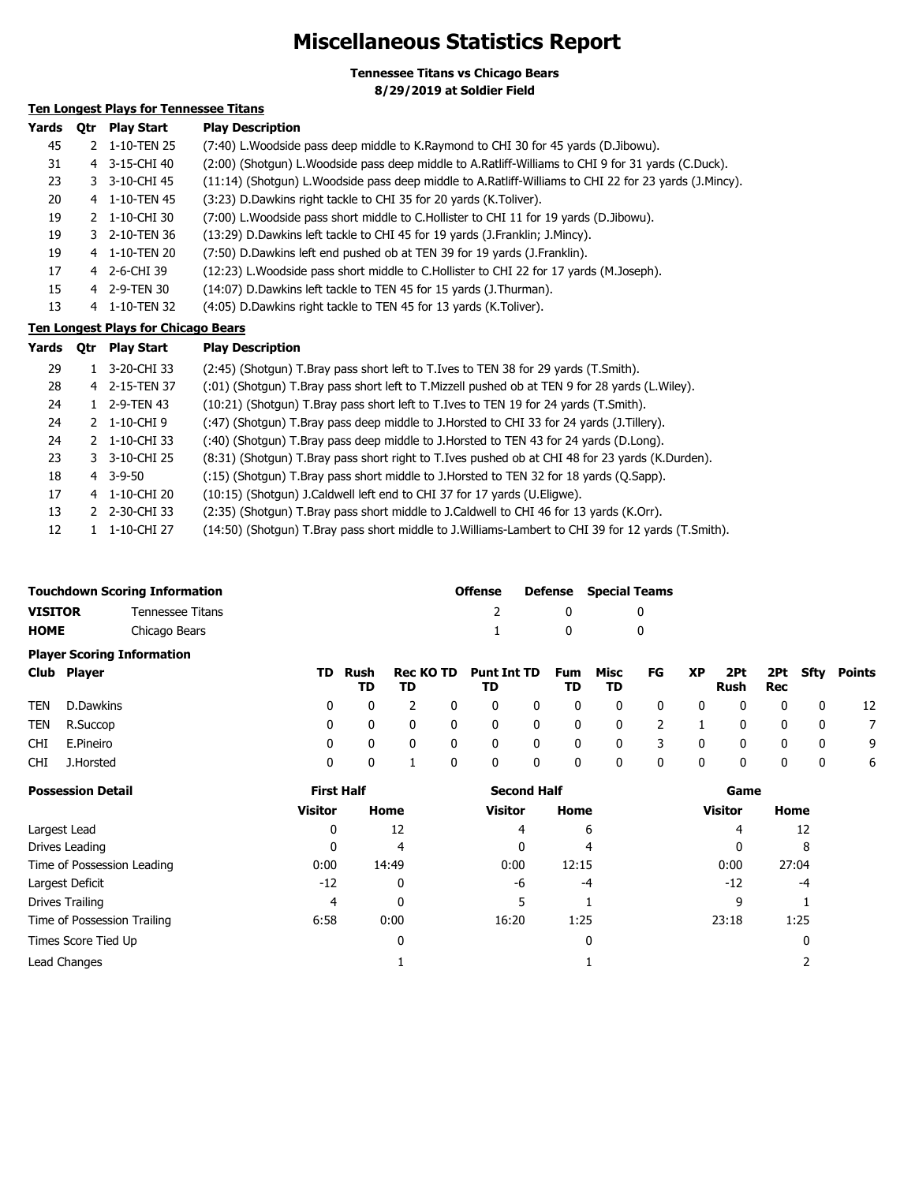### **Miscellaneous Statistics Report**

**Tennessee Titans vs Chicago Bears 8/29/2019 at Soldier Field**

### **Ten Longest Plays for Tennessee Titans**

| Yards | <b>Otr</b> | <b>Play Start</b> | <b>Play Description</b>                                                                                  |
|-------|------------|-------------------|----------------------------------------------------------------------------------------------------------|
| 45    |            | 2 1-10-TEN 25     | (7:40) L. Woodside pass deep middle to K. Raymond to CHI 30 for 45 yards (D. Jibowu).                    |
| 31    | 4          | 3-15-CHI 40       | (2:00) (Shotgun) L. Woodside pass deep middle to A. Ratliff-Williams to CHI 9 for 31 yards (C. Duck).    |
| 23    |            | 3 3-10-CHI 45     | (11:14) (Shotgun) L. Woodside pass deep middle to A. Ratliff-Williams to CHI 22 for 23 yards (J. Mincy). |
| 20    |            | 4 1-10-TEN 45     | (3:23) D. Dawkins right tackle to CHI 35 for 20 yards (K. Toliver).                                      |
| 19    |            | 2 1-10-CHI 30     | (7:00) L. Woodside pass short middle to C. Hollister to CHI 11 for 19 yards (D. Jibowu).                 |
| 19    |            | 3 2-10-TEN 36     | (13:29) D. Dawkins left tackle to CHI 45 for 19 yards (J. Franklin; J. Mincy).                           |
| 19    | 4          | 1-10-TEN 20       | (7:50) D.Dawkins left end pushed ob at TEN 39 for 19 yards (J.Franklin).                                 |
| 17    |            | 4 2-6-CHI 39      | (12:23) L. Woodside pass short middle to C. Hollister to CHI 22 for 17 yards (M. Joseph).                |
| 15    |            | 4 2-9-TEN 30      | (14:07) D. Dawkins left tackle to TEN 45 for 15 yards (J. Thurman).                                      |
| 13    | 4          | 1-10-TEN 32       | (4:05) D.Dawkins right tackle to TEN 45 for 13 yards (K.Toliver).                                        |

### **Ten Longest Plays for Chicago Bears**

| Yards | 0tr | <b>Play Start</b> | <b>Play Description</b>                                                                            |
|-------|-----|-------------------|----------------------------------------------------------------------------------------------------|
| 29    |     | 3-20-CHI 33       | (2:45) (Shotgun) T.Bray pass short left to T.Ives to TEN 38 for 29 yards (T.Smith).                |
| 28    |     | 4 2-15-TEN 37     | (:01) (Shotgun) T.Bray pass short left to T.Mizzell pushed ob at TEN 9 for 28 yards (L.Wiley).     |
| 24    |     | 2-9-TEN 43        | (10:21) (Shotgun) T.Bray pass short left to T.Ives to TEN 19 for 24 yards (T.Smith).               |
| 24    |     | 2 1-10-CHI9       | (:47) (Shotgun) T.Bray pass deep middle to J.Horsted to CHI 33 for 24 yards (J.Tillery).           |
| 24    |     | 2 1-10-CHI 33     | (:40) (Shotgun) T.Bray pass deep middle to J.Horsted to TEN 43 for 24 yards (D.Long).              |
| 23    |     | 3 3-10-CHI 25     | (8:31) (Shotgun) T.Bray pass short right to T.Ives pushed ob at CHI 48 for 23 yards (K.Durden).    |
| 18    |     | 4 3-9-50          | (:15) (Shotgun) T.Bray pass short middle to J.Horsted to TEN 32 for 18 yards (Q.Sapp).             |
| 17    |     | 4 1-10-CHI 20     | (10:15) (Shotgun) J.Caldwell left end to CHI 37 for 17 yards (U.Eligwe).                           |
| 13    |     | 2 2-30-CHI 33     | (2:35) (Shotgun) T.Bray pass short middle to J.Caldwell to CHI 46 for 13 yards (K.Orr).            |
| 12    |     | 1-10-CHI 27       | (14:50) (Shotqun) T.Bray pass short middle to J.Williams-Lambert to CHI 39 for 12 yards (T.Smith). |

|             |             | <b>Touchdown Scoring Information</b> |     |            |                        |   | <b>Offense</b>           | Defense          | <b>Special Teams</b> |    |    |             |     |          |        |
|-------------|-------------|--------------------------------------|-----|------------|------------------------|---|--------------------------|------------------|----------------------|----|----|-------------|-----|----------|--------|
| VISITOR     |             | Tennessee Titans                     |     |            |                        |   |                          | 0                |                      | 0  |    |             |     |          |        |
| <b>HOME</b> |             | Chicago Bears                        |     |            |                        |   |                          | 0                |                      | 0  |    |             |     |          |        |
|             |             | <b>Player Scoring Information</b>    |     |            |                        |   |                          |                  |                      |    |    |             |     |          |        |
|             | Club Player |                                      | TD. | Rush<br>TD | <b>Rec KO TD</b><br>TD |   | <b>Punt Int TD</b><br>TD | <b>Fum</b><br>TD | Misc<br>TD           | FG | XP | 2Pt<br>Rush | Rec | 2Pt Sfty | Points |
| TEN         | D.Dawkins   |                                      | 0   | 0          |                        | 0 |                          | 0                | $\mathbf{0}$         | 0  | 0  |             | 0   | 0        | 12     |
| TEN         | R.Succop    |                                      | 0   | 0          |                        | 0 |                          | 0                | 0                    |    |    |             | 0   | 0        |        |
| CHI         | E.Pineiro   |                                      | 0   | 0          |                        | 0 |                          | 0                | 0                    |    | 0  |             | 0   | 0        | 9      |

| <b>Possession Detail</b>    | <b>First Half</b> |       | <b>Second Half</b> |       | Game    |       |  |
|-----------------------------|-------------------|-------|--------------------|-------|---------|-------|--|
|                             | <b>Visitor</b>    | Home  | <b>Visitor</b>     | Home  | Visitor | Home  |  |
| Largest Lead                | 0                 | 12    | 4                  | 6     | 4       | 12    |  |
| Drives Leading              | 0                 | 4     | 0                  | 4     | 0       | 8     |  |
| Time of Possession Leading  | 0:00              | 14:49 | 0:00               | 12:15 | 0:00    | 27:04 |  |
| Largest Deficit             | $-12$             | 0     | -6                 | -4    | $-12$   | -4    |  |
| Drives Trailing             | 4                 | 0     |                    |       | q       |       |  |
| Time of Possession Trailing | 6:58              | 0:00  | 16:20              | 1:25  | 23:18   | 1:25  |  |
| Times Score Tied Up         |                   | 0     |                    | 0     |         | 0     |  |
| Lead Changes                |                   |       |                    |       |         |       |  |

CHI J.Horsted 0 0 1 0 0 0 0 0 0 0 0 0 0 6